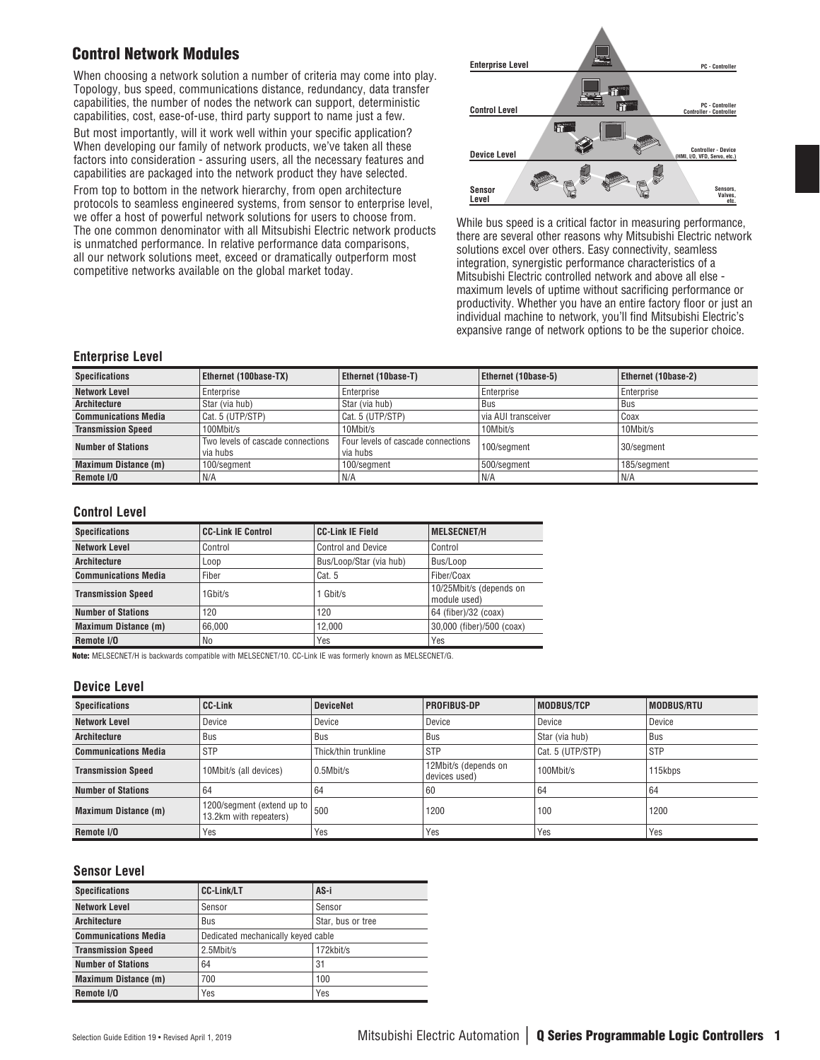## Control Network Modules

When choosing a network solution a number of criteria may come into play. Topology, bus speed, communications distance, redundancy, data transfer capabilities, the number of nodes the network can support, deterministic capabilities, cost, ease-of-use, third party support to name just a few.

But most importantly, will it work well within your specific application? When developing our family of network products, we've taken all these factors into consideration - assuring users, all the necessary features and capabilities are packaged into the network product they have selected.

From top to bottom in the network hierarchy, from open architecture protocols to seamless engineered systems, from sensor to enterprise level, we offer a host of powerful network solutions for users to choose from. The one common denominator with all Mitsubishi Electric network products is unmatched performance. In relative performance data comparisons, all our network solutions meet, exceed or dramatically outperform most competitive networks available on the global market today.



While bus speed is a critical factor in measuring performance, there are several other reasons why Mitsubishi Electric network solutions excel over others. Easy connectivity, seamless integration, synergistic performance characteristics of a Mitsubishi Electric controlled network and above all else maximum levels of uptime without sacrificing performance or productivity. Whether you have an entire factory floor or just an individual machine to network, you'll find Mitsubishi Electric's expansive range of network options to be the superior choice.

### **Enterprise Level**

| <b>Specifications</b>                                                      | Ethernet (100base-TX) | <b>Ethernet (10base-T)</b>                     | <b>Ethernet (10base-5)</b> | <b>Ethernet (10base-2)</b> |
|----------------------------------------------------------------------------|-----------------------|------------------------------------------------|----------------------------|----------------------------|
| <b>Network Level</b>                                                       | Enterprise            | Enterprise                                     | Enterprise                 | Enterprise                 |
| Architecture                                                               | Star (via hub)        | Star (via hub)                                 | Bus                        | <b>Bus</b>                 |
| Cat. 5 (UTP/STP)<br><b>Communications Media</b>                            |                       | Cat. 5 (UTP/STP)                               | via AUI transceiver        | Coax                       |
| <b>Transmission Speed</b><br>100Mbit/s                                     |                       | 10Mbit/s                                       | 10Mbit/s                   | 10Mbit/s                   |
| Two levels of cascade connections<br><b>Number of Stations</b><br>via hubs |                       | Four levels of cascade connections<br>via hubs | 100/segment                | 30/segment                 |
| <b>Maximum Distance (m)</b><br>100/segment                                 |                       | 500/segment<br>100/segment                     |                            | 185/segment                |
| Remote I/O                                                                 | N/A                   | N/A                                            | N/A                        | N/A                        |

#### **Control Level**

| <b>Specifications</b>       | <b>CC-Link IE Control</b> | <b>CC-Link IE Field</b>   | <b>MELSECNET/H</b>                      |
|-----------------------------|---------------------------|---------------------------|-----------------------------------------|
| <b>Network Level</b>        | Control                   | <b>Control and Device</b> | Control                                 |
| <b>Architecture</b>         | Loop                      | Bus/Loop/Star (via hub)   | Bus/Loop                                |
| <b>Communications Media</b> | Fiber                     | Cat. 5                    | Fiber/Coax                              |
| <b>Transmission Speed</b>   | 1Gbit/s                   | $1$ Gbit/s                | 10/25Mbit/s (depends on<br>module used) |
| <b>Number of Stations</b>   | 120                       | 120                       | 64 (fiber)/32 (coax)                    |
| <b>Maximum Distance (m)</b> | 66.000                    | 12.000                    | 30,000 (fiber)/500 (coax)               |
| Remote I/O                  | No                        | Yes                       | Yes                                     |

Note: MELSECNET/H is backwards compatible with MELSECNET/10. CC-Link IE was formerly known as MELSECNET/G.

#### **Device Level**

| <b>Specifications</b>       | <b>CC-Link</b>                                                                     | <b>DeviceNet</b>     | <b>PROFIBUS-DP</b>                    | <b>MODBUS/TCP</b> | MODBUS/RTU |
|-----------------------------|------------------------------------------------------------------------------------|----------------------|---------------------------------------|-------------------|------------|
| <b>Network Level</b>        | Device                                                                             | Device               | Device                                | Device            | Device     |
| <b>Architecture</b>         | Bus                                                                                | Bus                  | Bus                                   | Star (via hub)    | Bus        |
| <b>Communications Media</b> | <b>STP</b>                                                                         | Thick/thin trunkline | . STP                                 | Cat. 5 (UTP/STP)  | <b>STP</b> |
| <b>Transmission Speed</b>   | 10Mbit/s (all devices)                                                             | $0.5$ Mbit/s         | 12Mbit/s (depends on<br>devices used) | 100Mbit/s         | 115kbps    |
| <b>Number of Stations</b>   | 64                                                                                 | 64                   | 60                                    | 64                | 64         |
| <b>Maximum Distance (m)</b> | $\sqrt{1200/\text{segment}}$ (extend up to $\vert_{500}$<br>13.2km with repeaters) |                      | 1200                                  | 100               | 1200       |
| Remote I/O                  | Yes                                                                                | Yes                  | Yes                                   | Yes               | Yes        |

#### **Sensor Level**

| <b>Specifications</b>       | <b>CC-Link/LT</b>                  | AS-i              |
|-----------------------------|------------------------------------|-------------------|
| <b>Network Level</b>        | Sensor                             | Sensor            |
| <b>Architecture</b>         | Bus                                | Star, bus or tree |
| <b>Communications Media</b> | Dedicated mechanically keyed cable |                   |
| <b>Transmission Speed</b>   | 2.5Mbit/s                          | 172kbit/s         |
| <b>Number of Stations</b>   | 64                                 | 31                |
| Maximum Distance (m)        | 700                                | 100               |
| Remote I/O                  | Yes                                | Yes               |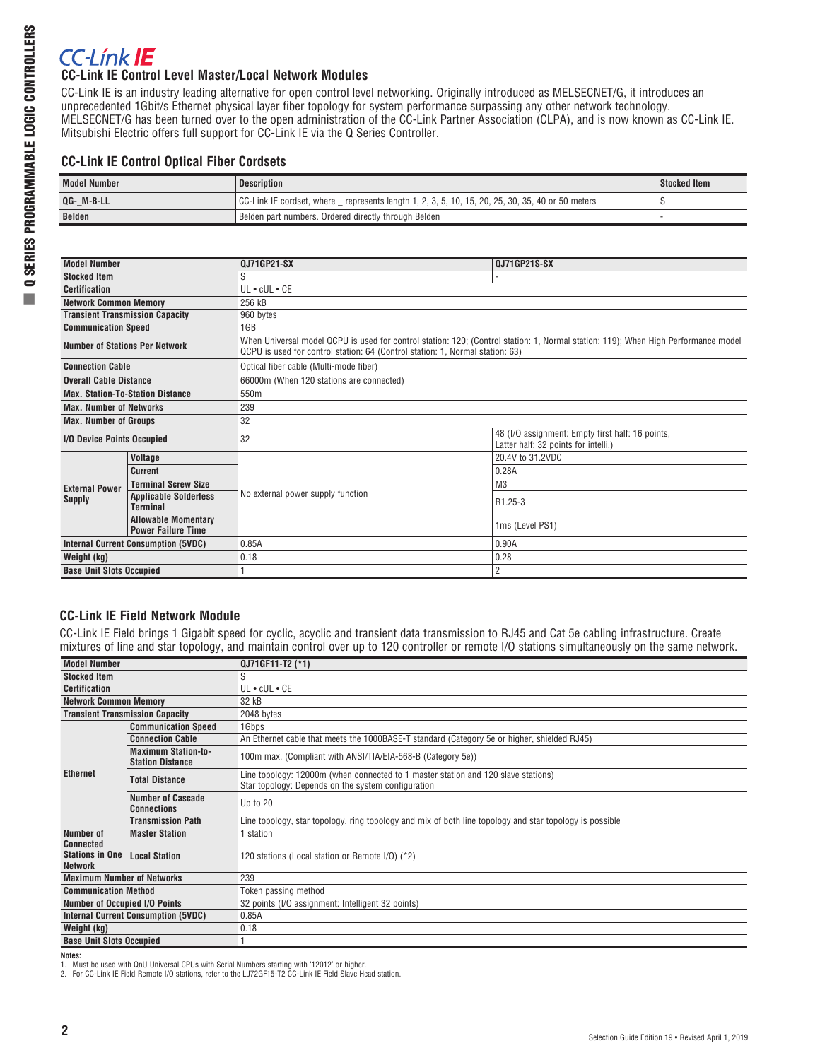# **CC-Línk IE**

## **CC-Link IE Control Level Master/Local Network Modules**

CC-Link IE is an industry leading alternative for open control level networking. Originally introduced as MELSECNET/G, it introduces an unprecedented 1Gbit/s Ethernet physical layer fiber topology for system performance surpassing any other network technology. MELSECNET/G has been turned over to the open administration of the CC-Link Partner Association (CLPA), and is now known as CC-Link IE. Mitsubishi Electric offers full support for CC-Link IE via the Q Series Controller.

## **CC-Link IE Control Optical Fiber Cordsets**

| <b>Model Number</b> | <b>Description</b>                                                                                  | Stocked Item |
|---------------------|-----------------------------------------------------------------------------------------------------|--------------|
| QG- M-B-LL          | CC-Link IE cordset, where _ represents length 1, 2, 3, 5, 10, 15, 20, 25, 30, 35, 40 or 50 meters [ |              |
| <b>Belden</b>       | Belden part numbers. Ordered directly through Belden                                                |              |

| <b>Model Number</b>                   |                                                         | <b>QJ71GP21-SX</b>                                                                                                                                                                                                  | <b>QJ71GP21S-SX</b>                                                                      |  |  |  |
|---------------------------------------|---------------------------------------------------------|---------------------------------------------------------------------------------------------------------------------------------------------------------------------------------------------------------------------|------------------------------------------------------------------------------------------|--|--|--|
| <b>Stocked Item</b>                   |                                                         | S                                                                                                                                                                                                                   |                                                                                          |  |  |  |
| <b>Certification</b>                  |                                                         | UL . cUL . CE                                                                                                                                                                                                       |                                                                                          |  |  |  |
| <b>Network Common Memory</b>          |                                                         | 256 kB                                                                                                                                                                                                              |                                                                                          |  |  |  |
|                                       | <b>Transient Transmission Capacity</b>                  | 960 bytes                                                                                                                                                                                                           |                                                                                          |  |  |  |
| <b>Communication Speed</b>            |                                                         | 1GB                                                                                                                                                                                                                 |                                                                                          |  |  |  |
| <b>Number of Stations Per Network</b> |                                                         | When Universal model QCPU is used for control station: 120; (Control station: 1, Normal station: 119); When High Performance model<br>QCPU is used for control station: 64 (Control station: 1, Normal station: 63) |                                                                                          |  |  |  |
| <b>Connection Cable</b>               |                                                         | Optical fiber cable (Multi-mode fiber)                                                                                                                                                                              |                                                                                          |  |  |  |
| <b>Overall Cable Distance</b>         |                                                         | 66000m (When 120 stations are connected)                                                                                                                                                                            |                                                                                          |  |  |  |
|                                       | <b>Max. Station-To-Station Distance</b>                 | 550m                                                                                                                                                                                                                |                                                                                          |  |  |  |
| <b>Max. Number of Networks</b>        |                                                         | 239                                                                                                                                                                                                                 |                                                                                          |  |  |  |
| <b>Max. Number of Groups</b>          |                                                         | 32                                                                                                                                                                                                                  |                                                                                          |  |  |  |
| I/O Device Points Occupied            |                                                         | 32                                                                                                                                                                                                                  | 48 (I/O assignment: Empty first half: 16 points,<br>Latter half: 32 points for intelli.) |  |  |  |
|                                       | Voltage                                                 |                                                                                                                                                                                                                     | 20.4V to 31.2VDC                                                                         |  |  |  |
|                                       | <b>Current</b>                                          |                                                                                                                                                                                                                     | 0.28A                                                                                    |  |  |  |
| <b>External Power</b>                 | <b>Terminal Screw Size</b>                              |                                                                                                                                                                                                                     | M <sub>3</sub>                                                                           |  |  |  |
| <b>Supply</b>                         | <b>Applicable Solderless</b><br><b>Terminal</b>         | No external power supply function                                                                                                                                                                                   | R <sub>1.25</sub> -3                                                                     |  |  |  |
|                                       | <b>Allowable Momentary</b><br><b>Power Failure Time</b> |                                                                                                                                                                                                                     | 1ms (Level PS1)                                                                          |  |  |  |
|                                       | <b>Internal Current Consumption (5VDC)</b>              | 0.85A                                                                                                                                                                                                               | 0.90A                                                                                    |  |  |  |
| Weight (kg)                           |                                                         | 0.18                                                                                                                                                                                                                | 0.28                                                                                     |  |  |  |
| <b>Base Unit Slots Occupied</b>       |                                                         |                                                                                                                                                                                                                     | $\overline{2}$                                                                           |  |  |  |

## **CC-Link IE Field Network Module**

CC-Link IE Field brings 1 Gigabit speed for cyclic, acyclic and transient data transmission to RJ45 and Cat 5e cabling infrastructure. Create mixtures of line and star topology, and maintain control over up to 120 controller or remote I/O stations simultaneously on the same network.

| <b>Model Number</b>                                          |                                                       | QJ71GF11-T2 (*1)                                                                                                                        |  |  |  |
|--------------------------------------------------------------|-------------------------------------------------------|-----------------------------------------------------------------------------------------------------------------------------------------|--|--|--|
| <b>Stocked Item</b>                                          |                                                       | S                                                                                                                                       |  |  |  |
| <b>Certification</b>                                         |                                                       | UL • cUL • CE                                                                                                                           |  |  |  |
| <b>Network Common Memory</b>                                 |                                                       | 32 kB                                                                                                                                   |  |  |  |
| <b>Transient Transmission Capacity</b>                       |                                                       | 2048 bytes                                                                                                                              |  |  |  |
|                                                              | <b>Communication Speed</b>                            | 1Gbps                                                                                                                                   |  |  |  |
|                                                              | <b>Connection Cable</b>                               | An Ethernet cable that meets the 1000BASE-T standard (Category 5e or higher, shielded RJ45)                                             |  |  |  |
|                                                              | <b>Maximum Station-to-</b><br><b>Station Distance</b> | 100m max. (Compliant with ANSI/TIA/EIA-568-B (Category 5e))                                                                             |  |  |  |
| <b>Ethernet</b>                                              | <b>Total Distance</b>                                 | Line topology: 12000m (when connected to 1 master station and 120 slave stations)<br>Star topology: Depends on the system configuration |  |  |  |
|                                                              | <b>Number of Cascade</b><br><b>Connections</b>        | Up to 20                                                                                                                                |  |  |  |
|                                                              | <b>Transmission Path</b>                              | Line topology, star topology, ring topology and mix of both line topology and star topology is possible                                 |  |  |  |
| Number of                                                    | <b>Master Station</b>                                 | station                                                                                                                                 |  |  |  |
| <b>Connected</b><br><b>Stations in One</b><br><b>Network</b> | <b>Local Station</b>                                  | 120 stations (Local station or Remote I/O) (*2)                                                                                         |  |  |  |
| <b>Maximum Number of Networks</b>                            |                                                       | 239                                                                                                                                     |  |  |  |
| <b>Communication Method</b>                                  |                                                       | Token passing method                                                                                                                    |  |  |  |
| <b>Number of Occupied I/O Points</b>                         |                                                       | 32 points (I/O assignment: Intelligent 32 points)                                                                                       |  |  |  |
|                                                              | <b>Internal Current Consumption (5VDC)</b>            | 0.85A                                                                                                                                   |  |  |  |
| Weight (kg)                                                  |                                                       | 0.18                                                                                                                                    |  |  |  |
| <b>Base Unit Slots Occupied</b>                              |                                                       |                                                                                                                                         |  |  |  |

#### **Notes:**

1. Must be used with QnU Universal CPUs with Serial Numbers starting with '12012' or higher. 2. For CC-Link IE Field Remote I/O stations, refer to the LJ72GF15-T2 CC-Link IE Field Slave Head station.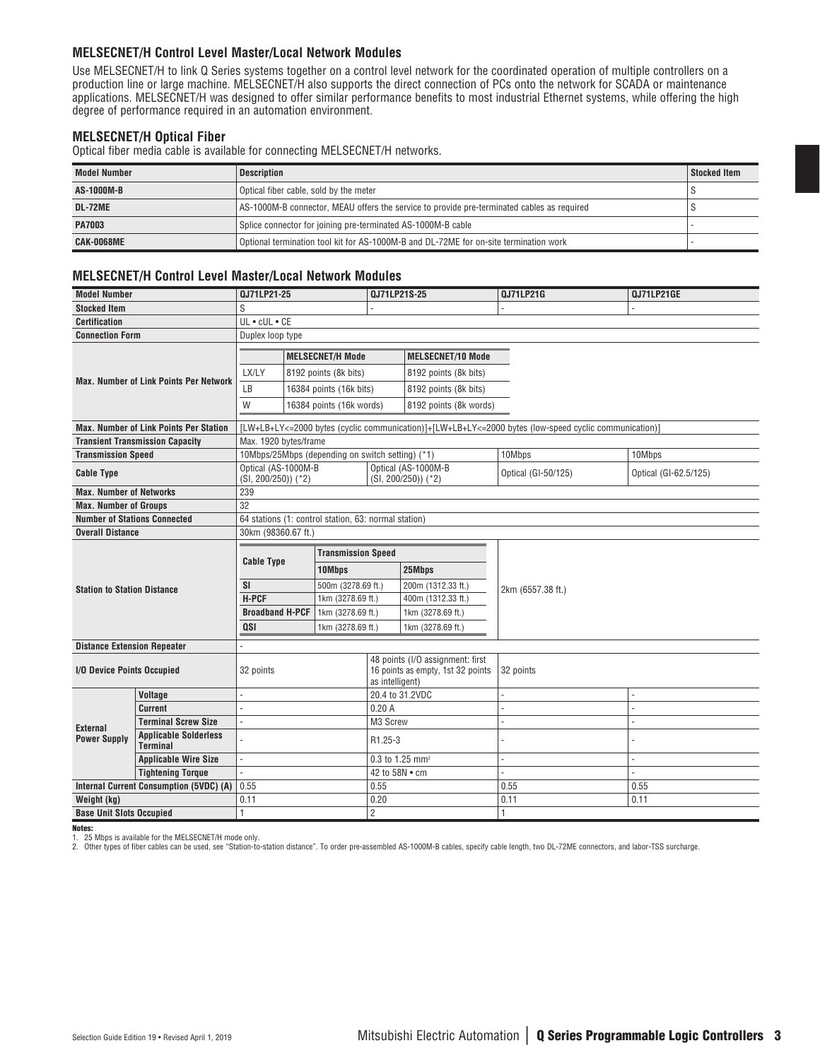### **MELSECNET/H Control Level Master/Local Network Modules**

Use MELSECNET/H to link Q Series systems together on a control level network for the coordinated operation of multiple controllers on a production line or large machine. MELSECNET/H also supports the direct connection of PCs onto the network for SCADA or maintenance applications. MELSECNET/H was designed to offer similar performance benefits to most industrial Ethernet systems, while offering the high degree of performance required in an automation environment.

#### **MELSECNET/H Optical Fiber**

Optical fiber media cable is available for connecting MELSECNET/H networks.

| <b>Model Number</b> | <b>Description</b>                                                                         | Stocked Item |
|---------------------|--------------------------------------------------------------------------------------------|--------------|
| AS-1000M-B          | Optical fiber cable, sold by the meter                                                     |              |
| DL-72ME             | AS-1000M-B connector, MEAU offers the service to provide pre-terminated cables as required |              |
| <b>PA7003</b>       | Splice connector for joining pre-terminated AS-1000M-B cable                               |              |
| CAK-0068ME          | Optional termination tool kit for AS-1000M-B and DL-72ME for on-site termination work      |              |

#### **MELSECNET/H Control Level Master/Local Network Modules**

| <b>Model Number</b>                 |                                               | QJ71LP21-25                                              |                                                  | <b>QJ71LP21S-25</b>                                  |                                              | QJ71LP21G                                                                                             | QJ71LP21GE            |  |
|-------------------------------------|-----------------------------------------------|----------------------------------------------------------|--------------------------------------------------|------------------------------------------------------|----------------------------------------------|-------------------------------------------------------------------------------------------------------|-----------------------|--|
| <b>Stocked Item</b>                 |                                               | S                                                        |                                                  |                                                      |                                              |                                                                                                       |                       |  |
| <b>Certification</b>                |                                               | UL . cUL . CE                                            |                                                  |                                                      |                                              |                                                                                                       |                       |  |
| <b>Connection Form</b>              |                                               | Duplex loop type                                         |                                                  |                                                      |                                              |                                                                                                       |                       |  |
|                                     |                                               |                                                          |                                                  |                                                      |                                              |                                                                                                       |                       |  |
|                                     |                                               |                                                          | <b>MELSECNET/H Mode</b>                          |                                                      | <b>MELSECNET/10 Mode</b>                     |                                                                                                       |                       |  |
|                                     | <b>Max. Number of Link Points Per Network</b> | LX/LY                                                    | 8192 points (8k bits)                            |                                                      | 8192 points (8k bits)                        |                                                                                                       |                       |  |
|                                     |                                               | LB                                                       | 16384 points (16k bits)                          |                                                      | 8192 points (8k bits)                        |                                                                                                       |                       |  |
|                                     |                                               | W                                                        | 16384 points (16k words)                         |                                                      | 8192 points (8k words)                       |                                                                                                       |                       |  |
|                                     | <b>Max. Number of Link Points Per Station</b> |                                                          |                                                  |                                                      |                                              | [LW+LB+LY<=2000 bytes (cyclic communication)]+[LW+LB+LY<=2000 bytes (low-speed cyclic communication)] |                       |  |
|                                     | <b>Transient Transmission Capacity</b>        | Max. 1920 bytes/frame                                    |                                                  |                                                      |                                              |                                                                                                       |                       |  |
| <b>Transmission Speed</b>           |                                               |                                                          | 10Mbps/25Mbps (depending on switch setting) (*1) |                                                      |                                              | 10Mbps                                                                                                | 10Mbps                |  |
| <b>Cable Type</b>                   |                                               | Optical (AS-1000M-B<br>$(SI, 200/250))$ (*2)             |                                                  |                                                      | Optical (AS-1000M-B<br>$(SI, 200/250))$ (*2) | Optical (GI-50/125)                                                                                   | Optical (GI-62.5/125) |  |
| <b>Max. Number of Networks</b>      |                                               | 239                                                      |                                                  |                                                      |                                              |                                                                                                       |                       |  |
| <b>Max. Number of Groups</b>        |                                               | 32                                                       |                                                  |                                                      |                                              |                                                                                                       |                       |  |
| <b>Number of Stations Connected</b> |                                               | 64 stations (1: control station, 63: normal station)     |                                                  |                                                      |                                              |                                                                                                       |                       |  |
| <b>Overall Distance</b>             |                                               | 30km (98360.67 ft.)                                      |                                                  |                                                      |                                              |                                                                                                       |                       |  |
|                                     |                                               | <b>Transmission Speed</b><br><b>Cable Type</b><br>10Mbps |                                                  |                                                      |                                              |                                                                                                       |                       |  |
|                                     |                                               |                                                          |                                                  | 25Mbps                                               |                                              |                                                                                                       |                       |  |
|                                     |                                               | <b>SI</b>                                                | 500m (3278.69 ft.)                               |                                                      | 200m (1312.33 ft.)                           |                                                                                                       |                       |  |
| <b>Station to Station Distance</b>  |                                               | <b>H-PCF</b>                                             | 1km (3278.69 ft.)                                |                                                      | 400m (1312.33 ft.)                           | 2km (6557.38 ft.)                                                                                     |                       |  |
|                                     |                                               | <b>Broadband H-PCF</b>                                   | 1km (3278.69 ft.)                                |                                                      | 1km (3278.69 ft.)                            |                                                                                                       |                       |  |
|                                     |                                               | QSI                                                      | 1km (3278.69 ft.)                                |                                                      | 1km (3278.69 ft.)                            |                                                                                                       |                       |  |
| <b>Distance Extension Repeater</b>  |                                               |                                                          |                                                  |                                                      |                                              |                                                                                                       |                       |  |
|                                     |                                               |                                                          |                                                  |                                                      | 48 points (I/O assignment: first             |                                                                                                       |                       |  |
| I/O Device Points Occupied          |                                               | 32 points                                                |                                                  | 16 points as empty, 1st 32 points<br>as intelligent) |                                              | 32 points                                                                                             |                       |  |
|                                     | Voltage                                       |                                                          |                                                  | 20.4 to 31.2VDC                                      |                                              |                                                                                                       |                       |  |
|                                     | <b>Current</b>                                | ä,                                                       |                                                  | 0.20A                                                |                                              |                                                                                                       |                       |  |
| External                            | <b>Terminal Screw Size</b>                    | ä,                                                       |                                                  | M3 Screw                                             |                                              |                                                                                                       |                       |  |
| <b>Power Supply</b>                 | <b>Applicable Solderless</b><br>Terminal      |                                                          |                                                  | R1.25-3                                              |                                              |                                                                                                       |                       |  |
|                                     | <b>Applicable Wire Size</b>                   |                                                          |                                                  | 0.3 to 1.25 mm <sup>2</sup>                          |                                              |                                                                                                       |                       |  |
|                                     | <b>Tightening Torque</b>                      | ä,                                                       |                                                  | 42 to 58N • cm                                       |                                              |                                                                                                       |                       |  |
|                                     | Internal Current Consumption (5VDC) (A)       | 0.55                                                     |                                                  | 0.55                                                 |                                              | 0.55                                                                                                  | 0.55                  |  |
| Weight (kg)                         |                                               | 0.11                                                     |                                                  | 0.20                                                 |                                              | 0.11                                                                                                  | 0.11                  |  |
| <b>Base Unit Slots Occupied</b>     |                                               | $\mathbf{1}$                                             |                                                  | $\overline{2}$                                       |                                              |                                                                                                       |                       |  |

Notes:

1. 25 Mbps is available for the MELSECNET/H mode only.

2. Other types of fiber cables can be used, see "Station-to-station distance". To order pre-assembled AS-1000M-B cables, specify cable length, two DL-72ME connectors, and labor-TSS surcharge.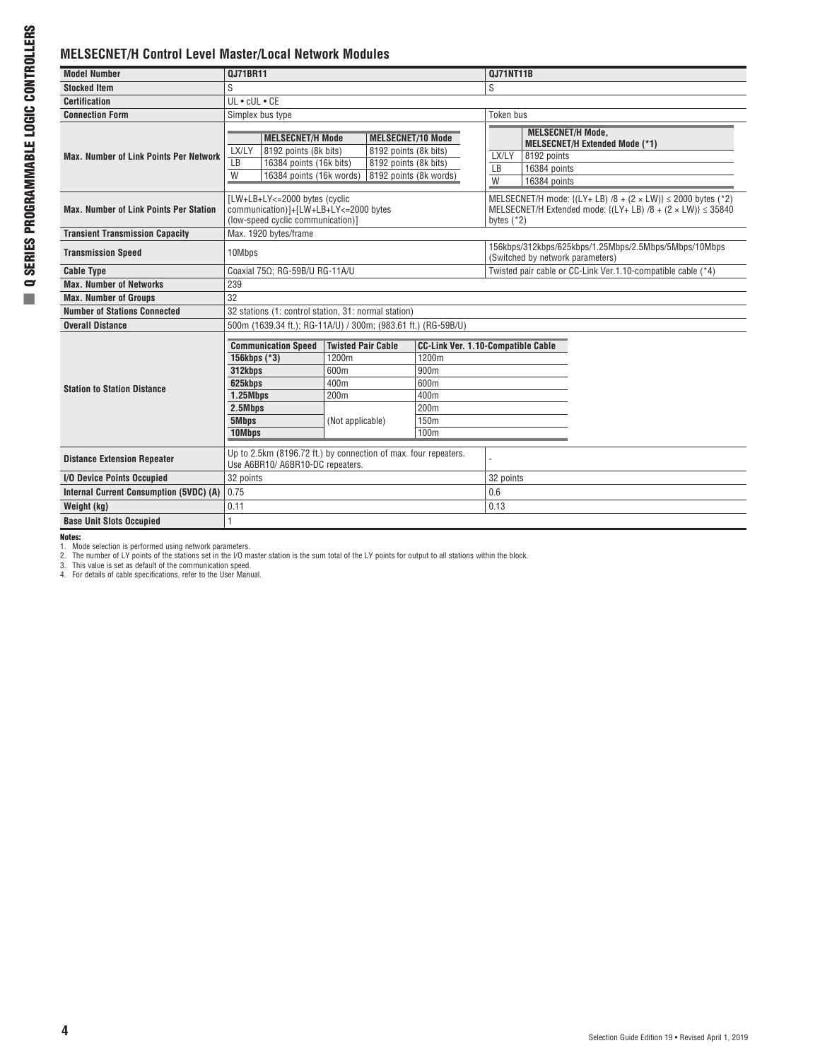## **MELSECNET/H Control Level Master/Local Network Modules**

| <b>Model Number</b>                            | <b>QJ71BR11</b>                                                                                             |                                                               |                                                                            | <b>QJ71NT11B</b>                                                                          |                                                                                                                                              |  |
|------------------------------------------------|-------------------------------------------------------------------------------------------------------------|---------------------------------------------------------------|----------------------------------------------------------------------------|-------------------------------------------------------------------------------------------|----------------------------------------------------------------------------------------------------------------------------------------------|--|
| <b>Stocked Item</b>                            | S                                                                                                           |                                                               |                                                                            | S                                                                                         |                                                                                                                                              |  |
| <b>Certification</b>                           | UL . cUL . CE                                                                                               |                                                               |                                                                            |                                                                                           |                                                                                                                                              |  |
| <b>Connection Form</b>                         | Simplex bus type                                                                                            |                                                               |                                                                            | Token bus                                                                                 |                                                                                                                                              |  |
| <b>Max. Number of Link Points Per Network</b>  | <b>MELSECNET/H Mode</b><br>LX/LY<br>8192 points (8k bits)<br>LB<br>16384 points (16k bits)                  |                                                               | <b>MELSECNET/10 Mode</b><br>8192 points (8k bits)<br>8192 points (8k bits) | LX/LY                                                                                     | <b>MELSECNET/H Mode,</b><br><b>MELSECNET/H Extended Mode (*1)</b><br>8192 points                                                             |  |
|                                                | W<br>16384 points (16k words)                                                                               |                                                               | 8192 points (8k words)                                                     | LB<br>W                                                                                   | 16384 points<br>16384 points                                                                                                                 |  |
| <b>Max. Number of Link Points Per Station</b>  | [LW+LB+LY<=2000 bytes (cyclic<br>communication)]+[LW+LB+LY<=2000 bytes<br>(low-speed cyclic communication)] |                                                               |                                                                            | bytes $(*2)$                                                                              | MELSECNET/H mode: { $(LY + LB)$ /8 + (2 × LW)} $\le$ 2000 bytes (*2)<br>MELSECNET/H Extended mode: $\{(LY+LB)/8 + (2 \times LW)\}\leq 35840$ |  |
| <b>Transient Transmission Capacity</b>         | Max. 1920 bytes/frame                                                                                       |                                                               |                                                                            |                                                                                           |                                                                                                                                              |  |
| <b>Transmission Speed</b>                      | 10Mbps                                                                                                      |                                                               |                                                                            | 156kbps/312kbps/625kbps/1.25Mbps/2.5Mbps/5Mbps/10Mbps<br>(Switched by network parameters) |                                                                                                                                              |  |
| <b>Cable Type</b>                              | Coaxial 75Ω; RG-59B/U RG-11A/U                                                                              |                                                               |                                                                            | Twisted pair cable or CC-Link Ver.1.10-compatible cable (*4)                              |                                                                                                                                              |  |
| <b>Max. Number of Networks</b>                 | 239                                                                                                         |                                                               |                                                                            |                                                                                           |                                                                                                                                              |  |
| <b>Max. Number of Groups</b>                   | 32                                                                                                          |                                                               |                                                                            |                                                                                           |                                                                                                                                              |  |
| <b>Number of Stations Connected</b>            | 32 stations (1: control station, 31: normal station)                                                        |                                                               |                                                                            |                                                                                           |                                                                                                                                              |  |
| <b>Overall Distance</b>                        |                                                                                                             | 500m (1639.34 ft.); RG-11A/U) / 300m; (983.61 ft.) (RG-59B/U) |                                                                            |                                                                                           |                                                                                                                                              |  |
|                                                | <b>CC-Link Ver. 1.10-Compatible Cable</b>                                                                   |                                                               |                                                                            |                                                                                           |                                                                                                                                              |  |
|                                                | <b>Communication Speed</b><br>156kbps (*3)                                                                  | <b>Twisted Pair Cable</b><br>1200m                            | 1200m                                                                      |                                                                                           |                                                                                                                                              |  |
|                                                | 312kbps                                                                                                     | 600m                                                          | 900m                                                                       |                                                                                           |                                                                                                                                              |  |
|                                                | 625kbps                                                                                                     | 400m                                                          | 600m                                                                       |                                                                                           |                                                                                                                                              |  |
| <b>Station to Station Distance</b>             | $1.25M$ bps                                                                                                 | 200m                                                          |                                                                            | 400m                                                                                      |                                                                                                                                              |  |
|                                                | 2.5Mbps                                                                                                     |                                                               | 200 <sub>m</sub>                                                           |                                                                                           |                                                                                                                                              |  |
|                                                | 5Mbps                                                                                                       | (Not applicable)                                              | 150m                                                                       |                                                                                           |                                                                                                                                              |  |
|                                                | 10Mbps                                                                                                      |                                                               | 100 <sub>m</sub>                                                           |                                                                                           |                                                                                                                                              |  |
|                                                |                                                                                                             |                                                               |                                                                            |                                                                                           |                                                                                                                                              |  |
| <b>Distance Extension Repeater</b>             | Up to 2.5km (8196.72 ft.) by connection of max. four repeaters.<br>Use A6BR10/ A6BR10-DC repeaters.         |                                                               |                                                                            |                                                                                           |                                                                                                                                              |  |
| I/O Device Points Occupied                     | 32 points                                                                                                   |                                                               |                                                                            | 32 points                                                                                 |                                                                                                                                              |  |
| <b>Internal Current Consumption (5VDC) (A)</b> | 0.75                                                                                                        |                                                               |                                                                            | 0.6                                                                                       |                                                                                                                                              |  |
| Weight (kg)                                    | 0.11                                                                                                        |                                                               |                                                                            | 0.13                                                                                      |                                                                                                                                              |  |
| <b>Base Unit Slots Occupied</b>                |                                                                                                             |                                                               |                                                                            |                                                                                           |                                                                                                                                              |  |

**Notes:**<br>1. Mode selection is performed using network parameters.<br>2. The number of LY points of the stations set in the I/O master station is the sum total of the LY points for output to all stations within the block.<br>3. T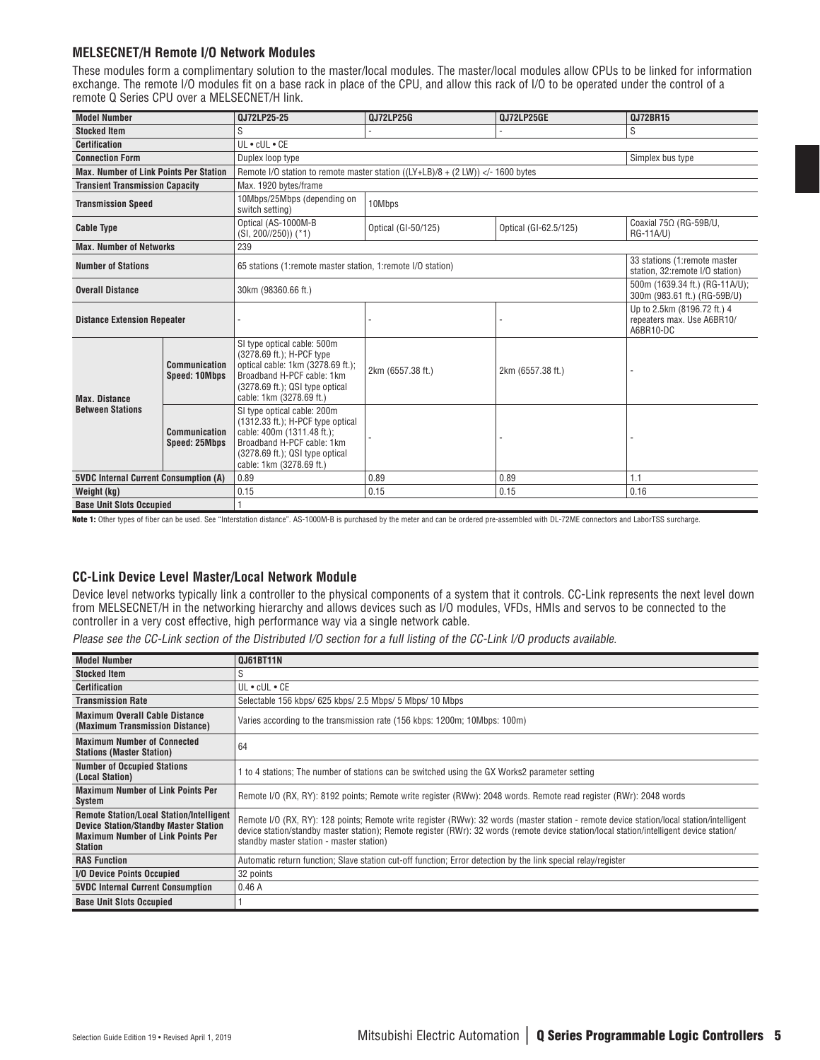### **MELSECNET/H Remote I/O Network Modules**

These modules form a complimentary solution to the master/local modules. The master/local modules allow CPUs to be linked for information exchange. The remote I/O modules fit on a base rack in place of the CPU, and allow this rack of I/O to be operated under the control of a remote Q Series CPU over a MELSECNET/H link.

| <b>Model Number</b>                           |                                       | 0J72LP25-25                                                                                                                                                                                              | 0J72LP25G           | 0J72LP25GE                                                       | 0J72BR15                                                               |
|-----------------------------------------------|---------------------------------------|----------------------------------------------------------------------------------------------------------------------------------------------------------------------------------------------------------|---------------------|------------------------------------------------------------------|------------------------------------------------------------------------|
| S<br><b>Stocked Item</b>                      |                                       |                                                                                                                                                                                                          |                     |                                                                  | S                                                                      |
| <b>Certification</b>                          |                                       | $UL \cdot cUL \cdot CE$                                                                                                                                                                                  |                     |                                                                  |                                                                        |
| <b>Connection Form</b>                        |                                       | Duplex loop type                                                                                                                                                                                         |                     |                                                                  | Simplex bus type                                                       |
| <b>Max. Number of Link Points Per Station</b> |                                       | Remote I/O station to remote master station ( $(LY+LB)/8 + (2 LW)$ ) -1600 bytes</th <th></th> <th></th> <th></th>                                                                                       |                     |                                                                  |                                                                        |
| <b>Transient Transmission Capacity</b>        |                                       | Max. 1920 bytes/frame                                                                                                                                                                                    |                     |                                                                  |                                                                        |
| <b>Transmission Speed</b>                     |                                       | 10Mbps/25Mbps (depending on<br>switch setting)                                                                                                                                                           | 10Mbps              |                                                                  |                                                                        |
| <b>Cable Type</b>                             |                                       | Optical (AS-1000M-B<br>$(SI, 200\frac{750}{1})$ (*1)                                                                                                                                                     | Optical (GI-50/125) | Optical (GI-62.5/125)                                            | Coaxial 75Ω (RG-59B/U,<br>RG-11A/U)                                    |
| <b>Max. Number of Networks</b>                |                                       | 239                                                                                                                                                                                                      |                     |                                                                  |                                                                        |
| <b>Number of Stations</b>                     |                                       | 65 stations (1:remote master station, 1:remote I/O station)                                                                                                                                              |                     | 33 stations (1:remote master<br>station. 32: remote I/O station) |                                                                        |
| <b>Overall Distance</b>                       |                                       | 30km (98360.66 ft.)                                                                                                                                                                                      |                     |                                                                  | 500m (1639.34 ft.) (RG-11A/U);<br>300m (983.61 ft.) (RG-59B/U)         |
| <b>Distance Extension Repeater</b>            |                                       |                                                                                                                                                                                                          |                     |                                                                  | Up to 2.5km (8196.72 ft.) 4<br>repeaters max. Use A6BR10/<br>A6BR10-DC |
| <b>Max. Distance</b>                          | Communication<br><b>Speed: 10Mbps</b> | SI type optical cable: 500m<br>(3278.69 ft.); H-PCF type<br>optical cable: 1km (3278.69 ft.);<br>Broadband H-PCF cable: 1km<br>(3278.69 ft.); QSI type optical<br>cable: 1km (3278.69 ft.)               | 2km (6557.38 ft.)   | 2km (6557.38 ft.)                                                |                                                                        |
| <b>Between Stations</b>                       | Communication<br><b>Speed: 25Mbps</b> | SI type optical cable: 200m<br>$(1312.33 \text{ ft.})$ ; H-PCF type optical<br>cable: 400m (1311.48 ft.);<br>Broadband H-PCF cable: 1km<br>$(3278.69$ ft.): QSI type optical<br>cable: 1km (3278.69 ft.) |                     |                                                                  |                                                                        |
| <b>5VDC Internal Current Consumption (A)</b>  |                                       | 0.89                                                                                                                                                                                                     | 0.89                | 0.89                                                             | 1.1                                                                    |
| Weight (kg)                                   |                                       | 0.15                                                                                                                                                                                                     | 0.15                | 0.15                                                             | 0.16                                                                   |
| <b>Base Unit Slots Occupied</b>               |                                       |                                                                                                                                                                                                          |                     |                                                                  |                                                                        |

Note 1: Other types of fiber can be used. See "Interstation distance". AS-1000M-B is purchased by the meter and can be ordered pre-assembled with DL-72ME connectors and LaborTSS surcharge.

#### **CC-Link Device Level Master/Local Network Module**

Device level networks typically link a controller to the physical components of a system that it controls. CC-Link represents the next level down from MELSECNET/H in the networking hierarchy and allows devices such as I/O modules, VFDs, HMIs and servos to be connected to the controller in a very cost effective, high performance way via a single network cable.

Please see the CC-Link section of the Distributed I/O section for a full listing of the CC-Link I/O products available.

| <b>Model Number</b>                                                                                                                                           | 0J61BT11N                                                                                                                                                                                                                                                                                                                        |
|---------------------------------------------------------------------------------------------------------------------------------------------------------------|----------------------------------------------------------------------------------------------------------------------------------------------------------------------------------------------------------------------------------------------------------------------------------------------------------------------------------|
| <b>Stocked Item</b>                                                                                                                                           | S                                                                                                                                                                                                                                                                                                                                |
| <b>Certification</b>                                                                                                                                          | $UL \cdot cUL \cdot CE$                                                                                                                                                                                                                                                                                                          |
| <b>Transmission Rate</b>                                                                                                                                      | Selectable 156 kbps/ 625 kbps/ 2.5 Mbps/ 5 Mbps/ 10 Mbps                                                                                                                                                                                                                                                                         |
| <b>Maximum Overall Cable Distance</b><br>(Maximum Transmission Distance)                                                                                      | Varies according to the transmission rate (156 kbps: 1200m; 10Mbps: 100m)                                                                                                                                                                                                                                                        |
| <b>Maximum Number of Connected</b><br><b>Stations (Master Station)</b>                                                                                        | 64                                                                                                                                                                                                                                                                                                                               |
| <b>Number of Occupied Stations</b><br>(Local Station)                                                                                                         | to 4 stations; The number of stations can be switched using the GX Works2 parameter setting                                                                                                                                                                                                                                      |
| <b>Maximum Number of Link Points Per</b><br>System                                                                                                            | Remote I/O (RX, RY): 8192 points; Remote write register (RWw): 2048 words. Remote read register (RWr): 2048 words                                                                                                                                                                                                                |
| <b>Remote Station/Local Station/Intelligent</b><br><b>Device Station/Standby Master Station</b><br><b>Maximum Number of Link Points Per</b><br><b>Station</b> | Remote I/O (RX, RY): 128 points; Remote write register (RWw): 32 words (master station - remote device station/local station/intelligent<br>device station/standby master station); Remote register (RWr): 32 words (remote device station/local station/intelligent device station/<br>standby master station - master station) |
| <b>RAS Function</b>                                                                                                                                           | Automatic return function; Slave station cut-off function; Error detection by the link special relay/register                                                                                                                                                                                                                    |
| I/O Device Points Occupied                                                                                                                                    | 32 points                                                                                                                                                                                                                                                                                                                        |
| <b>5VDC Internal Current Consumption</b>                                                                                                                      | 0.46A                                                                                                                                                                                                                                                                                                                            |
| <b>Base Unit Slots Occupied</b>                                                                                                                               |                                                                                                                                                                                                                                                                                                                                  |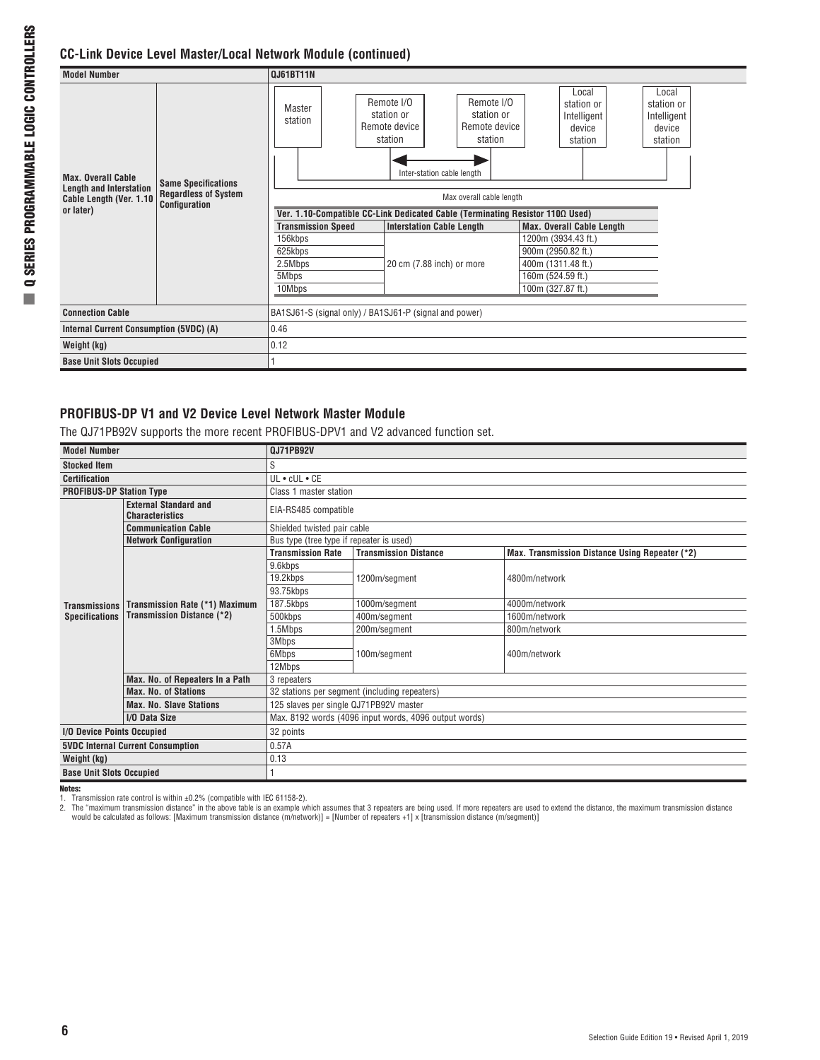## **CC-Link Device Level Master/Local Network Module (continued)**

| <b>Model Number</b>                                         |                                                                            | <b>QJ61BT11N</b>                                                              |                                                        |                                                      |                                                         |                                                         |  |  |  |  |
|-------------------------------------------------------------|----------------------------------------------------------------------------|-------------------------------------------------------------------------------|--------------------------------------------------------|------------------------------------------------------|---------------------------------------------------------|---------------------------------------------------------|--|--|--|--|
|                                                             | <b>Same Specifications</b><br><b>Regardless of System</b><br>Configuration | Master<br>station                                                             | Remote I/O<br>station or<br>Remote device<br>station   | Remote I/O<br>station or<br>Remote device<br>station | Local<br>station or<br>Intelligent<br>device<br>station | Local<br>station or<br>Intelligent<br>device<br>station |  |  |  |  |
| <b>Max. Overall Cable</b><br><b>Length and Interstation</b> |                                                                            |                                                                               | Inter-station cable length                             |                                                      |                                                         |                                                         |  |  |  |  |
| Cable Length (Ver. 1.10<br>or later)                        |                                                                            | Max overall cable length                                                      |                                                        |                                                      |                                                         |                                                         |  |  |  |  |
|                                                             |                                                                            | Ver. 1.10-Compatible CC-Link Dedicated Cable (Terminating Resistor 110Ω Used) |                                                        |                                                      |                                                         |                                                         |  |  |  |  |
|                                                             |                                                                            | <b>Transmission Speed</b>                                                     | <b>Interstation Cable Length</b>                       |                                                      | <b>Max. Overall Cable Length</b>                        |                                                         |  |  |  |  |
|                                                             |                                                                            | 156kbps                                                                       |                                                        |                                                      | 1200m (3934.43 ft.)                                     |                                                         |  |  |  |  |
|                                                             |                                                                            | 625kbps                                                                       |                                                        |                                                      | 900m (2950.82 ft.)                                      |                                                         |  |  |  |  |
|                                                             |                                                                            | 2.5Mbps                                                                       | 20 cm (7.88 inch) or more                              |                                                      | 400m (1311.48 ft.)                                      |                                                         |  |  |  |  |
|                                                             |                                                                            | 5Mbps                                                                         |                                                        |                                                      | 160m (524.59 ft.)                                       |                                                         |  |  |  |  |
|                                                             |                                                                            | 10Mbps                                                                        |                                                        |                                                      | 100m (327.87 ft.)                                       |                                                         |  |  |  |  |
|                                                             |                                                                            |                                                                               |                                                        |                                                      |                                                         |                                                         |  |  |  |  |
| <b>Connection Cable</b>                                     |                                                                            |                                                                               | BA1SJ61-S (signal only) / BA1SJ61-P (signal and power) |                                                      |                                                         |                                                         |  |  |  |  |
| Internal Current Consumption (5VDC) (A)                     |                                                                            | 0.46                                                                          |                                                        |                                                      |                                                         |                                                         |  |  |  |  |
| Weight (kg)                                                 |                                                                            |                                                                               | 0.12                                                   |                                                      |                                                         |                                                         |  |  |  |  |
| <b>Base Unit Slots Occupied</b>                             |                                                                            |                                                                               |                                                        |                                                      |                                                         |                                                         |  |  |  |  |

## **PROFIBUS-DP V1 and V2 Device Level Network Master Module**

The QJ71PB92V supports the more recent PROFIBUS-DPV1 and V2 advanced function set.

| <b>Model Number</b>                                    |                                                                     | 0J71PB92V                                |                                                       |                                                |  |  |  |
|--------------------------------------------------------|---------------------------------------------------------------------|------------------------------------------|-------------------------------------------------------|------------------------------------------------|--|--|--|
| <b>Stocked Item</b>                                    |                                                                     | S                                        |                                                       |                                                |  |  |  |
| <b>Certification</b>                                   |                                                                     | $UL \cdot cUL \cdot CE$                  |                                                       |                                                |  |  |  |
| <b>PROFIBUS-DP Station Type</b>                        |                                                                     | Class 1 master station                   |                                                       |                                                |  |  |  |
| <b>External Standard and</b><br><b>Characteristics</b> |                                                                     | EIA-RS485 compatible                     |                                                       |                                                |  |  |  |
|                                                        | <b>Communication Cable</b>                                          | Shielded twisted pair cable              |                                                       |                                                |  |  |  |
|                                                        | <b>Network Configuration</b>                                        | Bus type (tree type if repeater is used) |                                                       |                                                |  |  |  |
|                                                        |                                                                     | <b>Transmission Rate</b>                 | <b>Transmission Distance</b>                          | Max. Transmission Distance Using Repeater (*2) |  |  |  |
|                                                        |                                                                     | 9.6kbps                                  |                                                       |                                                |  |  |  |
|                                                        | Transmission Rate (*1) Maximum<br><b>Transmission Distance (*2)</b> | 19.2kbps                                 | 1200m/segment                                         | 4800m/network                                  |  |  |  |
| <b>Transmissions</b>                                   |                                                                     | 93.75kbps                                |                                                       |                                                |  |  |  |
|                                                        |                                                                     | 187.5kbps                                | 1000m/segment                                         | 4000m/network                                  |  |  |  |
| <b>Specifications</b>                                  |                                                                     | 500kbps                                  | 400m/segment                                          | 1600m/network                                  |  |  |  |
|                                                        |                                                                     | 1.5Mbps                                  | 200m/segment                                          | 800m/network                                   |  |  |  |
|                                                        |                                                                     | 3Mbps                                    |                                                       |                                                |  |  |  |
|                                                        |                                                                     | 6Mbps                                    | 100m/segment                                          | 400m/network                                   |  |  |  |
|                                                        |                                                                     | 12Mbps                                   |                                                       |                                                |  |  |  |
|                                                        | Max. No. of Repeaters In a Path                                     | 3 repeaters                              |                                                       |                                                |  |  |  |
|                                                        | <b>Max. No. of Stations</b>                                         |                                          | 32 stations per segment (including repeaters)         |                                                |  |  |  |
|                                                        | <b>Max. No. Slave Stations</b>                                      | 125 slaves per single QJ71PB92V master   |                                                       |                                                |  |  |  |
|                                                        | I/O Data Size                                                       |                                          | Max. 8192 words (4096 input words, 4096 output words) |                                                |  |  |  |
| I/O Device Points Occupied                             |                                                                     | 32 points                                |                                                       |                                                |  |  |  |
|                                                        | <b>5VDC Internal Current Consumption</b>                            | 0.57A                                    |                                                       |                                                |  |  |  |
| Weight (kg)                                            |                                                                     | 0.13                                     |                                                       |                                                |  |  |  |
| <b>Base Unit Slots Occupied</b>                        |                                                                     |                                          |                                                       |                                                |  |  |  |

Notes:

1. Transmission rate control is within ±0.2% (compatible with IEC 61158-2).<br>2. The "maximum transmission distance" in the above table is an example which assumes that 3 repeaters are being used. If more repeaters are used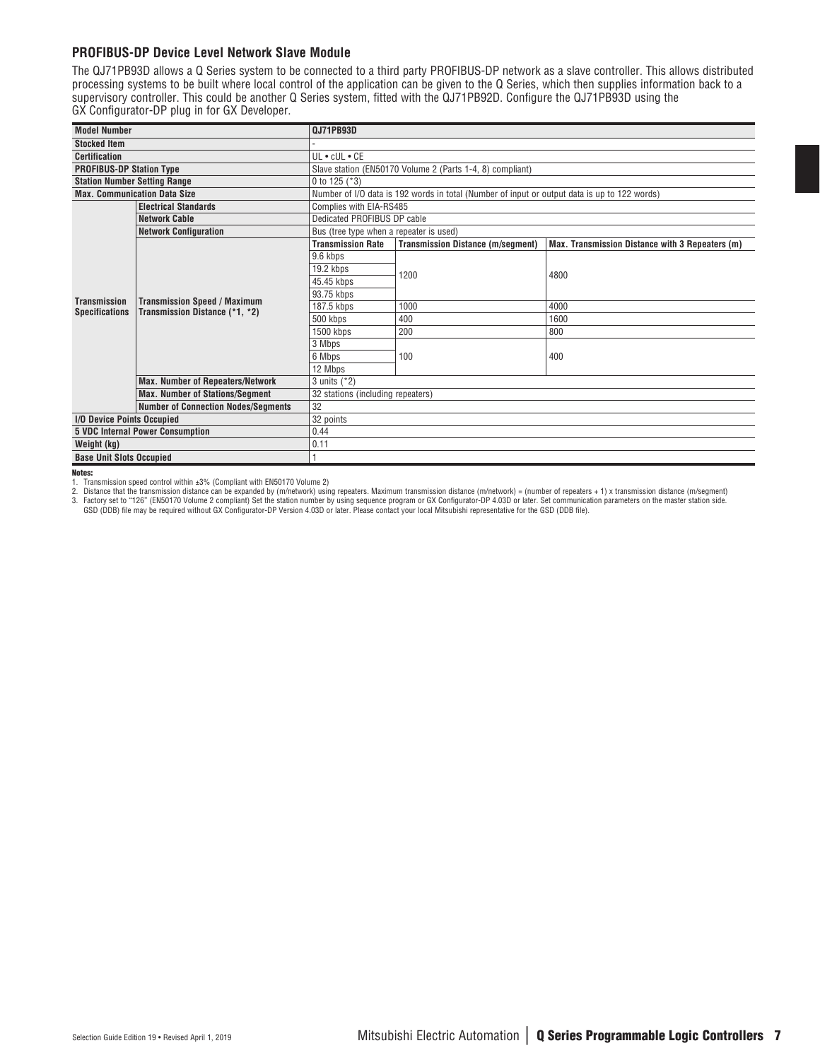#### **PROFIBUS-DP Device Level Network Slave Module**

The QJ71PB93D allows a Q Series system to be connected to a third party PROFIBUS-DP network as a slave controller. This allows distributed processing systems to be built where local control of the application can be given to the Q Series, which then supplies information back to a supervisory controller. This could be another Q Series system, fitted with the QJ71PB92D. Configure the QJ71PB93D using the GX Configurator-DP plug in for GX Developer.

| <b>Model Number</b>                 |                                                                       | <b>QJ71PB93D</b>                        |                                                                                              |                                                 |  |  |  |
|-------------------------------------|-----------------------------------------------------------------------|-----------------------------------------|----------------------------------------------------------------------------------------------|-------------------------------------------------|--|--|--|
| <b>Stocked Item</b>                 |                                                                       |                                         |                                                                                              |                                                 |  |  |  |
| <b>Certification</b>                |                                                                       | $UL \cdot cUL \cdot CE$                 |                                                                                              |                                                 |  |  |  |
| <b>PROFIBUS-DP Station Type</b>     |                                                                       |                                         | Slave station (EN50170 Volume 2 (Parts 1-4, 8) compliant)                                    |                                                 |  |  |  |
| <b>Station Number Setting Range</b> |                                                                       | 0 to 125 $(*3)$                         |                                                                                              |                                                 |  |  |  |
|                                     | <b>Max. Communication Data Size</b>                                   |                                         | Number of I/O data is 192 words in total (Number of input or output data is up to 122 words) |                                                 |  |  |  |
| <b>Electrical Standards</b>         |                                                                       | Complies with EIA-RS485                 |                                                                                              |                                                 |  |  |  |
|                                     | <b>Network Cable</b>                                                  | Dedicated PROFIBUS DP cable             |                                                                                              |                                                 |  |  |  |
|                                     | <b>Network Configuration</b>                                          | Bus (tree type when a repeater is used) |                                                                                              |                                                 |  |  |  |
|                                     |                                                                       | <b>Transmission Rate</b>                | <b>Transmission Distance (m/segment)</b>                                                     | Max. Transmission Distance with 3 Repeaters (m) |  |  |  |
|                                     |                                                                       | 9.6 kbps                                |                                                                                              |                                                 |  |  |  |
|                                     | <b>Transmission Speed / Maximum</b><br>Transmission Distance (*1, *2) | 19.2 kbps                               | 1200                                                                                         | 4800                                            |  |  |  |
|                                     |                                                                       | 45.45 kbps                              |                                                                                              |                                                 |  |  |  |
| <b>Transmission</b>                 |                                                                       | 93.75 kbps                              |                                                                                              |                                                 |  |  |  |
| <b>Specifications</b>               |                                                                       | 187.5 kbps                              | 1000                                                                                         | 4000                                            |  |  |  |
|                                     |                                                                       | 500 kbps                                | 400                                                                                          | 1600                                            |  |  |  |
|                                     |                                                                       | 1500 kbps                               | 200                                                                                          | 800                                             |  |  |  |
|                                     |                                                                       | 3 Mbps                                  |                                                                                              |                                                 |  |  |  |
|                                     |                                                                       | 6 Mbps                                  | 100                                                                                          | 400                                             |  |  |  |
|                                     |                                                                       | 12 Mbps                                 |                                                                                              |                                                 |  |  |  |
|                                     | <b>Max. Number of Repeaters/Network</b>                               | 3 units (*2)                            |                                                                                              |                                                 |  |  |  |
|                                     | <b>Max. Number of Stations/Segment</b>                                | 32 stations (including repeaters)       |                                                                                              |                                                 |  |  |  |
|                                     | <b>Number of Connection Nodes/Segments</b>                            | 32                                      |                                                                                              |                                                 |  |  |  |
|                                     | I/O Device Points Occupied                                            |                                         | 32 points                                                                                    |                                                 |  |  |  |
|                                     | <b>5 VDC Internal Power Consumption</b>                               | 0.44                                    |                                                                                              |                                                 |  |  |  |
| Weight (kg)                         |                                                                       | 0.11                                    |                                                                                              |                                                 |  |  |  |
| <b>Base Unit Slots Occupied</b>     |                                                                       |                                         |                                                                                              |                                                 |  |  |  |

Notes:

1. Transmission speed control within ±3% (Compliant with EN50170 Volume 2)

2. Distance that the transmission distance can be expanded by (m/network) using repeaters. Maximum transmission distance (m/network) = (number of repeaters + 1) x transmission distance (m/segment)

3. Factory set to "126" (EN50170 Volume 2 compliant) Set the station number by using sequence program or GX Configurator-DP 4.03D or later. Set communication parameters on the master station side.<br>GSD (DDB) file may be req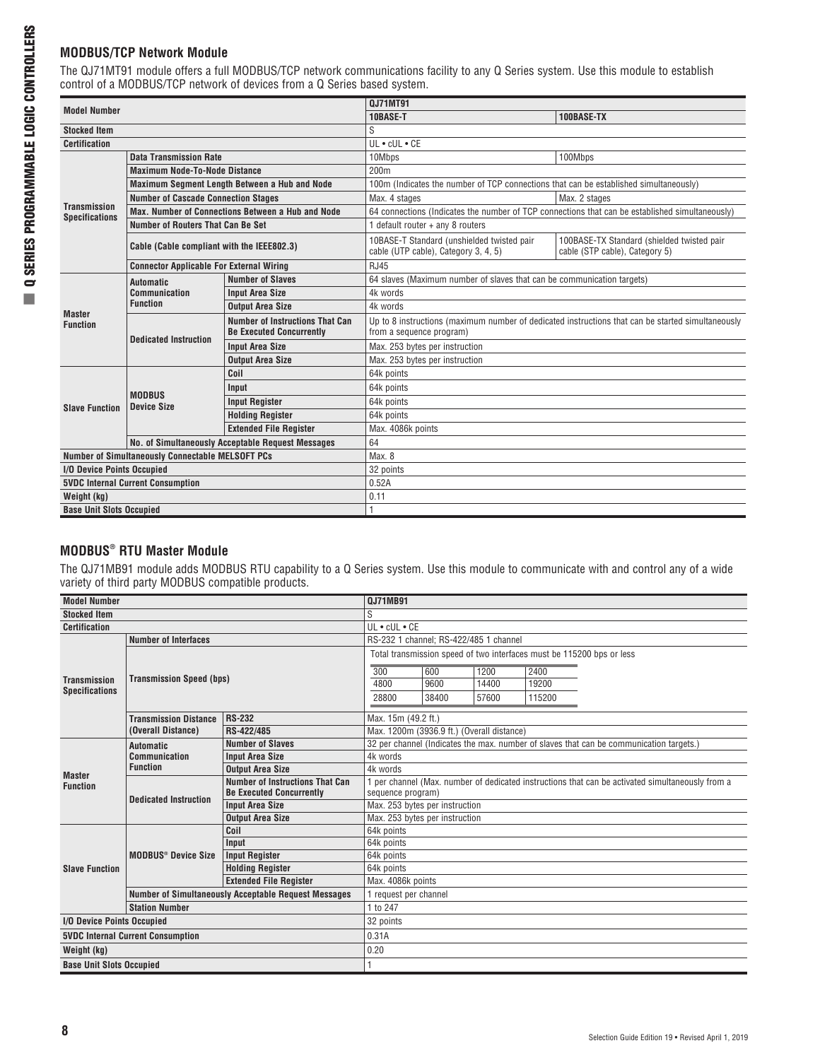## **MODBUS/TCP Network Module**

The QJ71MT91 module offers a full MODBUS/TCP network communications facility to any Q Series system. Use this module to establish control of a MODBUS/TCP network of devices from a Q Series based system.

| <b>Model Number</b>                              |                                                 | 0J71MT91                                                                  |                                                                                                                               |                                                                              |  |  |  |
|--------------------------------------------------|-------------------------------------------------|---------------------------------------------------------------------------|-------------------------------------------------------------------------------------------------------------------------------|------------------------------------------------------------------------------|--|--|--|
|                                                  |                                                 |                                                                           | 10BASE-T                                                                                                                      | 100BASE-TX                                                                   |  |  |  |
| <b>Stocked Item</b>                              |                                                 |                                                                           | S                                                                                                                             |                                                                              |  |  |  |
| <b>Certification</b>                             |                                                 |                                                                           | $UL \cdot cUL \cdot CE$                                                                                                       |                                                                              |  |  |  |
|                                                  | <b>Data Transmission Rate</b>                   |                                                                           | 10Mbps                                                                                                                        | 100Mbps                                                                      |  |  |  |
|                                                  | <b>Maximum Node-To-Node Distance</b>            |                                                                           | 200 <sub>m</sub>                                                                                                              |                                                                              |  |  |  |
|                                                  |                                                 | <b>Maximum Segment Length Between a Hub and Node</b>                      | 100m (Indicates the number of TCP connections that can be established simultaneously)                                         |                                                                              |  |  |  |
| <b>Transmission</b>                              | <b>Number of Cascade Connection Stages</b>      |                                                                           | Max. 4 stages                                                                                                                 | Max. 2 stages                                                                |  |  |  |
| <b>Specifications</b>                            |                                                 | Max. Number of Connections Between a Hub and Node                         | 64 connections (Indicates the number of TCP connections that can be established simultaneously)                               |                                                                              |  |  |  |
|                                                  | Number of Routers That Can Be Set               |                                                                           | 1 default router + any 8 routers                                                                                              |                                                                              |  |  |  |
|                                                  | Cable (Cable compliant with the IEEE802.3)      |                                                                           | 10BASE-T Standard (unshielded twisted pair<br>cable (UTP cable), Category 3, 4, 5)                                            | 100BASE-TX Standard (shielded twisted pair<br>cable (STP cable), Category 5) |  |  |  |
|                                                  | <b>Connector Applicable For External Wiring</b> |                                                                           | <b>RJ45</b>                                                                                                                   |                                                                              |  |  |  |
|                                                  | <b>Automatic</b>                                | <b>Number of Slaves</b>                                                   | 64 slaves (Maximum number of slaves that can be communication targets)                                                        |                                                                              |  |  |  |
|                                                  | Communication<br><b>Function</b>                | <b>Input Area Size</b>                                                    | 4k words                                                                                                                      |                                                                              |  |  |  |
| <b>Master</b>                                    |                                                 | <b>Output Area Size</b>                                                   | 4k words                                                                                                                      |                                                                              |  |  |  |
| <b>Function</b>                                  | <b>Dedicated Instruction</b>                    | <b>Number of Instructions That Can</b><br><b>Be Executed Concurrently</b> | Up to 8 instructions (maximum number of dedicated instructions that can be started simultaneously<br>from a sequence program) |                                                                              |  |  |  |
|                                                  |                                                 | <b>Input Area Size</b>                                                    | Max. 253 bytes per instruction                                                                                                |                                                                              |  |  |  |
|                                                  |                                                 | <b>Output Area Size</b>                                                   | Max. 253 bytes per instruction                                                                                                |                                                                              |  |  |  |
|                                                  |                                                 | Coil                                                                      | 64k points                                                                                                                    |                                                                              |  |  |  |
|                                                  |                                                 | Input                                                                     | 64k points                                                                                                                    |                                                                              |  |  |  |
| <b>Slave Function</b>                            | <b>MODBUS</b><br><b>Device Size</b>             | <b>Input Register</b>                                                     | 64k points                                                                                                                    |                                                                              |  |  |  |
|                                                  |                                                 | <b>Holding Register</b>                                                   | 64k points                                                                                                                    |                                                                              |  |  |  |
|                                                  |                                                 | <b>Extended File Reaister</b>                                             | Max. 4086k points                                                                                                             |                                                                              |  |  |  |
|                                                  |                                                 | No. of Simultaneously Acceptable Request Messages                         | 64                                                                                                                            |                                                                              |  |  |  |
| Number of Simultaneously Connectable MELSOFT PCs |                                                 | Max. 8                                                                    |                                                                                                                               |                                                                              |  |  |  |
| I/O Device Points Occupied                       |                                                 | 32 points                                                                 |                                                                                                                               |                                                                              |  |  |  |
| <b>5VDC Internal Current Consumption</b>         |                                                 |                                                                           | 0.52A                                                                                                                         |                                                                              |  |  |  |
| Weight (kg)                                      |                                                 |                                                                           | 0.11                                                                                                                          |                                                                              |  |  |  |
| <b>Base Unit Slots Occupied</b>                  |                                                 |                                                                           |                                                                                                                               |                                                                              |  |  |  |

## **MODBUS® RTU Master Module**

The QJ71MB91 module adds MODBUS RTU capability to a Q Series system. Use this module to communicate with and control any of a wide variety of third party MODBUS compatible products.

| <b>Model Number</b>             |                                          |                                                             | <b>QJ71MB91</b>                                                                                  |       |       |                                                                                         |  |
|---------------------------------|------------------------------------------|-------------------------------------------------------------|--------------------------------------------------------------------------------------------------|-------|-------|-----------------------------------------------------------------------------------------|--|
| <b>Stocked Item</b>             |                                          |                                                             | S                                                                                                |       |       |                                                                                         |  |
| <b>Certification</b>            |                                          |                                                             | $UL \cdot cUL \cdot CE$                                                                          |       |       |                                                                                         |  |
|                                 | <b>Number of Interfaces</b>              |                                                             | RS-232 1 channel; RS-422/485 1 channel                                                           |       |       |                                                                                         |  |
|                                 |                                          |                                                             |                                                                                                  |       |       | Total transmission speed of two interfaces must be 115200 bps or less                   |  |
|                                 |                                          |                                                             | 300                                                                                              | 600   | 1200  | 2400                                                                                    |  |
| <b>Transmission</b>             | <b>Transmission Speed (bps)</b>          |                                                             | 4800                                                                                             | 9600  | 14400 | 19200                                                                                   |  |
| <b>Specifications</b>           |                                          |                                                             | 28800                                                                                            | 38400 | 57600 | 115200                                                                                  |  |
|                                 | <b>Transmission Distance</b>             | <b>RS-232</b>                                               | Max. 15m (49.2 ft.)                                                                              |       |       |                                                                                         |  |
|                                 | (Overall Distance)                       | RS-422/485                                                  | Max. 1200m (3936.9 ft.) (Overall distance)                                                       |       |       |                                                                                         |  |
|                                 | <b>Automatic</b>                         | <b>Number of Slaves</b>                                     |                                                                                                  |       |       | 32 per channel (Indicates the max. number of slaves that can be communication targets.) |  |
|                                 | <b>Communication</b>                     | <b>Input Area Size</b>                                      | 4k words                                                                                         |       |       |                                                                                         |  |
| <b>Master</b>                   | <b>Function</b>                          | <b>Output Area Size</b>                                     | 4k words                                                                                         |       |       |                                                                                         |  |
| <b>Function</b>                 | <b>Dedicated Instruction</b>             | <b>Number of Instructions That Can</b>                      | 1 per channel (Max. number of dedicated instructions that can be activated simultaneously from a |       |       |                                                                                         |  |
|                                 |                                          | <b>Be Executed Concurrently</b>                             | sequence program)                                                                                |       |       |                                                                                         |  |
|                                 |                                          | <b>Input Area Size</b>                                      | Max. 253 bytes per instruction                                                                   |       |       |                                                                                         |  |
|                                 |                                          | <b>Output Area Size</b>                                     | Max. 253 bytes per instruction                                                                   |       |       |                                                                                         |  |
|                                 |                                          | Coil                                                        | 64k points                                                                                       |       |       |                                                                                         |  |
|                                 |                                          | Input                                                       | 64k points                                                                                       |       |       |                                                                                         |  |
|                                 | MODBUS <sup>®</sup> Device Size          | <b>Input Register</b>                                       | 64k points                                                                                       |       |       |                                                                                         |  |
| <b>Slave Function</b>           |                                          | <b>Holding Register</b>                                     | 64k points                                                                                       |       |       |                                                                                         |  |
|                                 |                                          | <b>Extended File Register</b>                               | Max. 4086k points                                                                                |       |       |                                                                                         |  |
|                                 |                                          | <b>Number of Simultaneously Acceptable Request Messages</b> | request per channel                                                                              |       |       |                                                                                         |  |
| <b>Station Number</b>           |                                          | 1 to 247                                                    |                                                                                                  |       |       |                                                                                         |  |
| I/O Device Points Occupied      |                                          | 32 points                                                   |                                                                                                  |       |       |                                                                                         |  |
|                                 | <b>5VDC Internal Current Consumption</b> |                                                             | 0.31A                                                                                            |       |       |                                                                                         |  |
| Weight (kg)                     |                                          |                                                             | 0.20                                                                                             |       |       |                                                                                         |  |
| <b>Base Unit Slots Occupied</b> |                                          |                                                             |                                                                                                  |       |       |                                                                                         |  |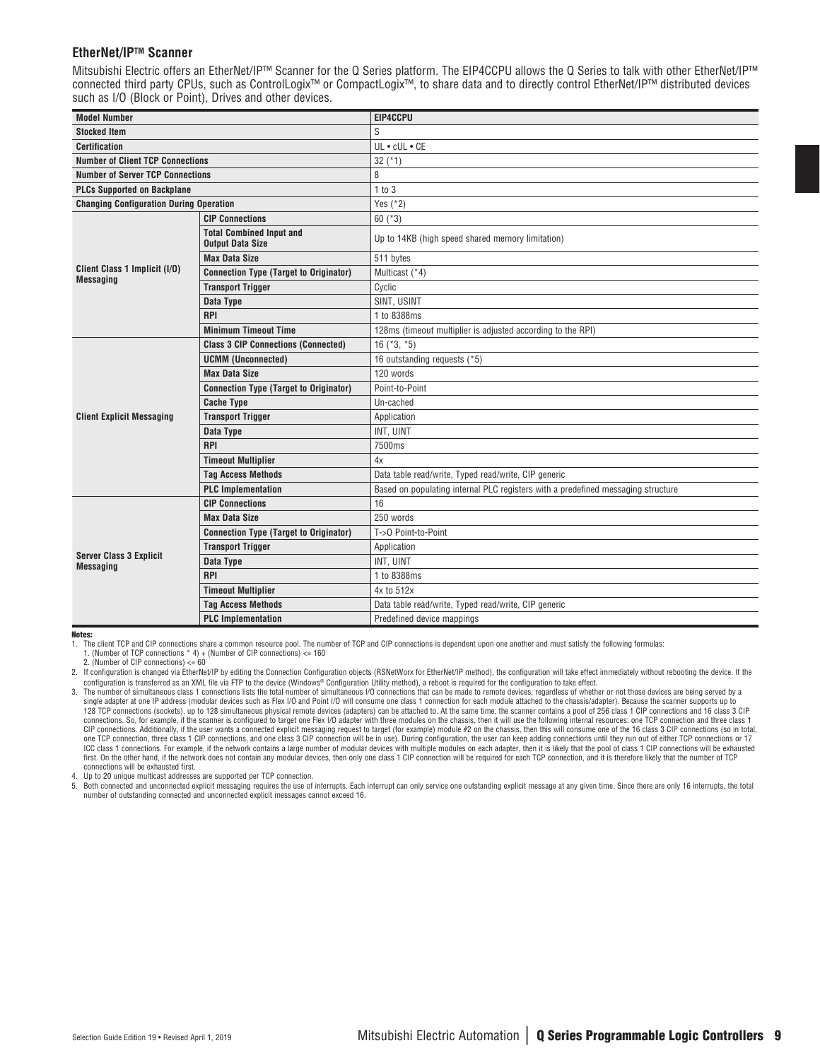#### **EtherNet/IPTM Scanner**

Mitsubishi Electric offers an EtherNet/IP™ Scanner for the Q Series platform. The EIP4CCPU allows the Q Series to talk with other EtherNet/IP™ connected third party CPUs, such as ControlLogix™ or CompactLogix™, to share data and to directly control EtherNet/IP™ distributed devices such as I/O (Block or Point), Drives and other devices.

| <b>Model Number</b>                                |                                                            | EIP4CCPU                                                                         |
|----------------------------------------------------|------------------------------------------------------------|----------------------------------------------------------------------------------|
| <b>Stocked Item</b>                                |                                                            | S                                                                                |
| <b>Certification</b>                               |                                                            | $UL \cdot cUL \cdot CE$                                                          |
| <b>Number of Client TCP Connections</b>            |                                                            | $32$ ( $*1$ )                                                                    |
| <b>Number of Server TCP Connections</b>            |                                                            | 8                                                                                |
| <b>PLCs Supported on Backplane</b>                 |                                                            | 1 to 3                                                                           |
| <b>Changing Configuration During Operation</b>     |                                                            | Yes $(*2)$                                                                       |
|                                                    | <b>CIP Connections</b>                                     | 60 $(*3)$                                                                        |
|                                                    | <b>Total Combined Input and</b><br><b>Output Data Size</b> | Up to 14KB (high speed shared memory limitation)                                 |
|                                                    | <b>Max Data Size</b>                                       | 511 bytes                                                                        |
| Client Class 1 Implicit (I/O)<br><b>Messaging</b>  | <b>Connection Type (Target to Originator)</b>              | Multicast (*4)                                                                   |
|                                                    | <b>Transport Trigger</b>                                   | Cyclic                                                                           |
|                                                    | Data Type                                                  | SINT, USINT                                                                      |
|                                                    | <b>RPI</b>                                                 | 1 to 8388ms                                                                      |
|                                                    | <b>Minimum Timeout Time</b>                                | 128ms (timeout multiplier is adjusted according to the RPI)                      |
|                                                    | <b>Class 3 CIP Connections (Connected)</b>                 | 16 $(*3, *5)$                                                                    |
|                                                    | <b>UCMM (Unconnected)</b>                                  | 16 outstanding requests (*5)                                                     |
|                                                    | <b>Max Data Size</b>                                       | 120 words                                                                        |
|                                                    | <b>Connection Type (Target to Originator)</b>              | Point-to-Point                                                                   |
|                                                    | <b>Cache Type</b>                                          | Un-cached                                                                        |
| <b>Client Explicit Messaging</b>                   | <b>Transport Trigger</b>                                   | Application                                                                      |
|                                                    | Data Type                                                  | INT, UINT                                                                        |
|                                                    | <b>RPI</b>                                                 | 7500ms                                                                           |
|                                                    | <b>Timeout Multiplier</b>                                  | 4x                                                                               |
|                                                    | <b>Tag Access Methods</b>                                  | Data table read/write, Typed read/write, CIP generic                             |
|                                                    | <b>PLC</b> Implementation                                  | Based on populating internal PLC registers with a predefined messaging structure |
|                                                    | <b>CIP Connections</b>                                     | 16                                                                               |
|                                                    | <b>Max Data Size</b>                                       | 250 words                                                                        |
|                                                    | <b>Connection Type (Target to Originator)</b>              | T->0 Point-to-Point                                                              |
|                                                    | <b>Transport Trigger</b>                                   | Application                                                                      |
| <b>Server Class 3 Explicit</b><br><b>Messaging</b> | Data Type                                                  | INT. UINT                                                                        |
|                                                    | <b>RPI</b>                                                 | 1 to 8388ms                                                                      |
|                                                    | <b>Timeout Multiplier</b>                                  | 4x to 512x                                                                       |
|                                                    | <b>Tag Access Methods</b>                                  | Data table read/write, Typed read/write, CIP generic                             |
|                                                    | <b>PLC</b> Implementation                                  | Predefined device mappings                                                       |

Notes:

1. The client TCP and CIP connections share a common resource pool. The number of TCP and CIP connections is dependent upon one another and must satisfy the following formulas: 1. (Number of TCP connections \* 4) + (Number of CIP connections) <= 160

2. If configuration is changed via EtherNet/IP by editing the Connection Configuration objects (RSNetWorx for EtherNet/IP method), the configuration will take effect immediately without rebooting the device. If the configuration is transferred as an XML file via FTP to the device (Windows® Configuration Utility method), a reboot is required for the configuration to take effect.

4. Up to 20 unique multicast addresses are supported per TCP connection.<br>5. Both connected and unconnected explicit messaging requires the use of

5. Both connected and unconnected explicit messaging requires the use of interrupts. Each interrupt can only service one outstanding explicit message at any given time. Since there are only 16 interrupts, the total<br>number

<sup>2. (</sup>Number of CIP connections) <= 60

<sup>3.</sup> The number of simultaneous class 1 connections lists the total number of simultaneous I/O connections that can be made to remote devices, regardless of whether or not those devices are being served by a single adapter at one IP address (modular devices such as Flex I/O and Point I/O will consume one class 1 connection for each module attached to the chassis/adapter). Because the scanner supports up to<br>128 TCP connections connections. So, for example, if the scanner is configured to target one Flex I/O adapter with three modules on the chassis, then it will use the following internal resources: one TCP connection and three class 1 CIP connections. Additionally, if the user wants a connected explicit messaging request to target (for example) module #2 on the chassis, then this will consume one of the 16 class 3 CIP connections (so in total,<br>one TCP ICC class 1 connections. For example, if the network contains a large number of modular devices with multiple modules on each adapter, then it is likely that the pool of class 1 CIP connections will be exhausted first. On the other hand, if the network does not contain any modular devices, then only one class 1 CIP connection will be required for each TCP connection, and it is therefore likely that the number of TCP connections will be exhausted first.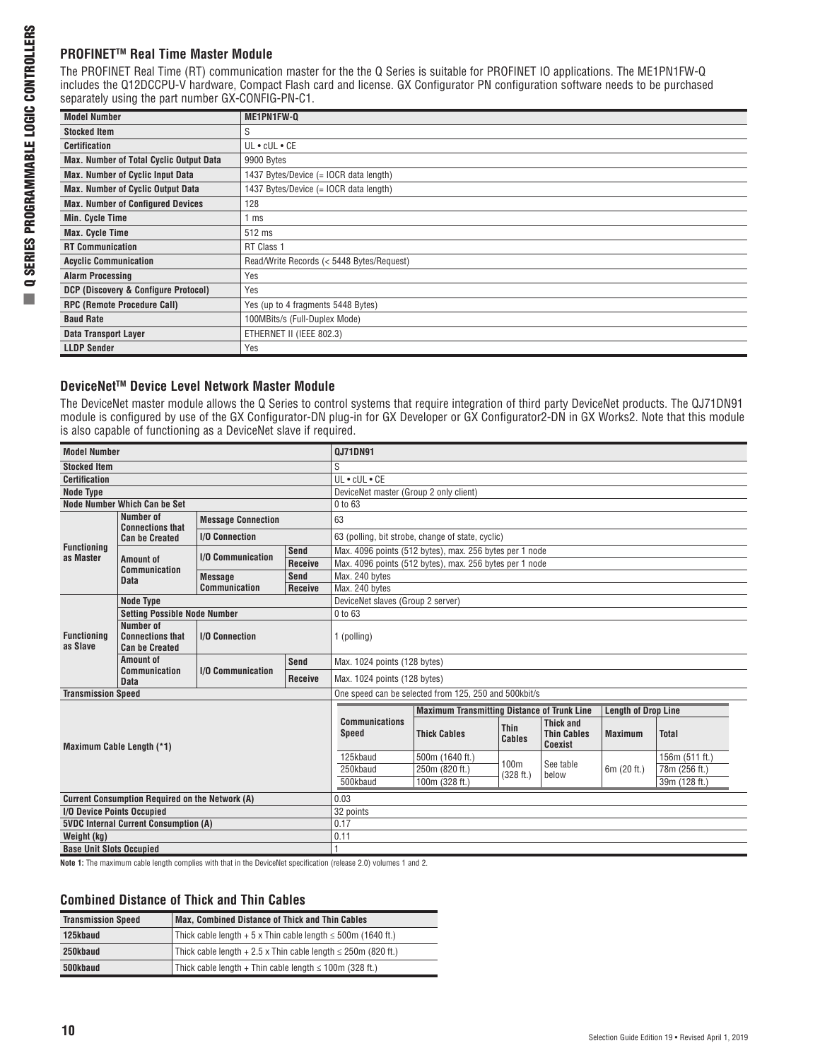## **PROFINET™ Real Time Master Module**

The PROFINET Real Time (RT) communication master for the the Q Series is suitable for PROFINET IO applications. The ME1PN1FW-Q includes the Q12DCCPU-V hardware, Compact Flash card and license. GX Configurator PN configuration software needs to be purchased separately using the part number GX-CONFIG-PN-C1.

| <b>Model Number</b>                            | ME1PN1FW-Q                                |  |  |
|------------------------------------------------|-------------------------------------------|--|--|
| <b>Stocked Item</b>                            | S                                         |  |  |
| <b>Certification</b>                           | UL • cUL • CE                             |  |  |
| <b>Max. Number of Total Cyclic Output Data</b> | 9900 Bytes                                |  |  |
| <b>Max. Number of Cyclic Input Data</b>        | 1437 Bytes/Device (= IOCR data length)    |  |  |
| <b>Max. Number of Cyclic Output Data</b>       | 1437 Bytes/Device (= IOCR data length)    |  |  |
| <b>Max. Number of Configured Devices</b>       | 128                                       |  |  |
| Min. Cycle Time                                | ms                                        |  |  |
| <b>Max. Cycle Time</b>                         | 512 ms                                    |  |  |
| <b>RT Communication</b>                        | RT Class 1                                |  |  |
| <b>Acyclic Communication</b>                   | Read/Write Records (< 5448 Bytes/Request) |  |  |
| <b>Alarm Processing</b>                        | Yes                                       |  |  |
| DCP (Discovery & Configure Protocol)           | Yes                                       |  |  |
| <b>RPC (Remote Procedure Call)</b>             | Yes (up to 4 fragments 5448 Bytes)        |  |  |
| <b>Baud Rate</b>                               | 100MBits/s (Full-Duplex Mode)             |  |  |
| <b>Data Transport Layer</b>                    | ETHERNET II (IEEE 802.3)                  |  |  |
| <b>LLDP Sender</b>                             | Yes                                       |  |  |

## **DeviceNetTM Device Level Network Master Module**

The DeviceNet master module allows the Q Series to control systems that require integration of third party DeviceNet products. The QJ71DN91 module is configured by use of the GX Configurator-DN plug-in for GX Developer or GX Configurator2-DN in GX Works2. Note that this module is also capable of functioning as a DeviceNet slave if required.

| <b>Model Number</b>                                    |                                                               |                                                                           | <b>QJ71DN91</b> |                                                       |                                                         |                               |                                                          |                            |                |  |
|--------------------------------------------------------|---------------------------------------------------------------|---------------------------------------------------------------------------|-----------------|-------------------------------------------------------|---------------------------------------------------------|-------------------------------|----------------------------------------------------------|----------------------------|----------------|--|
| <b>Stocked Item</b>                                    |                                                               |                                                                           |                 | S                                                     |                                                         |                               |                                                          |                            |                |  |
| <b>Certification</b>                                   |                                                               |                                                                           |                 | UL . cUL . CE                                         |                                                         |                               |                                                          |                            |                |  |
| <b>Node Type</b>                                       |                                                               |                                                                           |                 | DeviceNet master (Group 2 only client)                |                                                         |                               |                                                          |                            |                |  |
|                                                        | Node Number Which Can be Set                                  |                                                                           |                 | 0 to 63                                               |                                                         |                               |                                                          |                            |                |  |
|                                                        | Number of<br><b>Connections that</b>                          | <b>Message Connection</b>                                                 |                 | 63                                                    |                                                         |                               |                                                          |                            |                |  |
|                                                        | <b>Can be Created</b>                                         | <b>I/O Connection</b>                                                     |                 |                                                       | 63 (polling, bit strobe, change of state, cyclic)       |                               |                                                          |                            |                |  |
| <b>Functioning</b><br>as Master                        |                                                               | <b>I/O Communication</b>                                                  | Send            |                                                       | Max. 4096 points (512 bytes), max. 256 bytes per 1 node |                               |                                                          |                            |                |  |
|                                                        | <b>Amount of</b><br><b>Communication</b>                      |                                                                           | <b>Receive</b>  |                                                       | Max. 4096 points (512 bytes), max. 256 bytes per 1 node |                               |                                                          |                            |                |  |
|                                                        | <b>Data</b>                                                   | <b>Message</b>                                                            | <b>Send</b>     | Max. 240 bytes                                        |                                                         |                               |                                                          |                            |                |  |
|                                                        |                                                               | Communication                                                             | <b>Receive</b>  | Max. 240 bytes                                        |                                                         |                               |                                                          |                            |                |  |
|                                                        | <b>Node Type</b>                                              |                                                                           |                 | DeviceNet slaves (Group 2 server)                     |                                                         |                               |                                                          |                            |                |  |
| <b>Functioning</b><br>as Slave                         | <b>Setting Possible Node Number</b>                           |                                                                           |                 | 0 to 63                                               |                                                         |                               |                                                          |                            |                |  |
|                                                        | Number of<br><b>Connections that</b><br><b>Can be Created</b> | <b>I/O Connection</b>                                                     |                 | 1 (polling)                                           |                                                         |                               |                                                          |                            |                |  |
|                                                        | Amount of                                                     | <b>Send</b>                                                               |                 | Max. 1024 points (128 bytes)                          |                                                         |                               |                                                          |                            |                |  |
|                                                        | <b>Communication</b><br><b>Data</b>                           | <b>I/O Communication</b>                                                  | <b>Receive</b>  | Max. 1024 points (128 bytes)                          |                                                         |                               |                                                          |                            |                |  |
| <b>Transmission Speed</b>                              |                                                               |                                                                           |                 | One speed can be selected from 125, 250 and 500kbit/s |                                                         |                               |                                                          |                            |                |  |
|                                                        |                                                               |                                                                           |                 |                                                       | <b>Maximum Transmitting Distance of Trunk Line</b>      |                               |                                                          | <b>Length of Drop Line</b> |                |  |
|                                                        | Maximum Cable Length (*1)                                     |                                                                           |                 | <b>Communications</b><br><b>Speed</b>                 | <b>Thick Cables</b>                                     | <b>Thin</b><br>Cables         | <b>Thick and</b><br><b>Thin Cables</b><br><b>Coexist</b> | <b>Maximum</b>             | <b>Total</b>   |  |
|                                                        |                                                               |                                                                           |                 | 125kbaud                                              | 500m (1640 ft.)                                         |                               |                                                          |                            | 156m (511 ft.) |  |
|                                                        |                                                               |                                                                           |                 | 250kbaud                                              | 250m (820 ft.)                                          | 100 <sub>m</sub><br>(328 ft.) | See table<br>below                                       | 6m (20 ft.)                | 78m (256 ft.)  |  |
|                                                        |                                                               |                                                                           |                 | 500kbaud                                              | 100m (328 ft.)                                          |                               |                                                          |                            | 39m (128 ft.)  |  |
| <b>Current Consumption Required on the Network (A)</b> |                                                               |                                                                           | 0.03            |                                                       |                                                         |                               |                                                          |                            |                |  |
| I/O Device Points Occupied                             |                                                               |                                                                           |                 | 32 points                                             |                                                         |                               |                                                          |                            |                |  |
| <b>5VDC Internal Current Consumption (A)</b>           |                                                               |                                                                           | 0.17            |                                                       |                                                         |                               |                                                          |                            |                |  |
| Weight (kg)                                            |                                                               |                                                                           |                 | 0.11                                                  |                                                         |                               |                                                          |                            |                |  |
| <b>Base Unit Slots Occupied</b>                        |                                                               |                                                                           |                 |                                                       |                                                         |                               |                                                          |                            |                |  |
|                                                        |                                                               | Mada M. Tha scoileanna aghla leaghla agus dire nigh dhabha dh' Darisabhab |                 | specification (pelasse 0.0) coloures 4 and 0.         |                                                         |                               |                                                          |                            |                |  |

**Note 1:** The maximum cable length complies with that in the DeviceNet specification (release 2.0) volumes 1 and 2.

### **Combined Distance of Thick and Thin Cables**

| <b>Transmission Speed</b> | <b>Max, Combined Distance of Thick and Thin Cables</b>                    |
|---------------------------|---------------------------------------------------------------------------|
| 125kbaud                  | Thick cable length $+5 \times$ Thin cable length $\leq 500$ m (1640 ft.)  |
| 250kbaud                  | Thick cable length $+2.5 \times$ Thin cable length $\leq 250$ m (820 ft.) |
| 500kbaud                  | Thick cable length + Thin cable length $\leq$ 100m (328 ft.)              |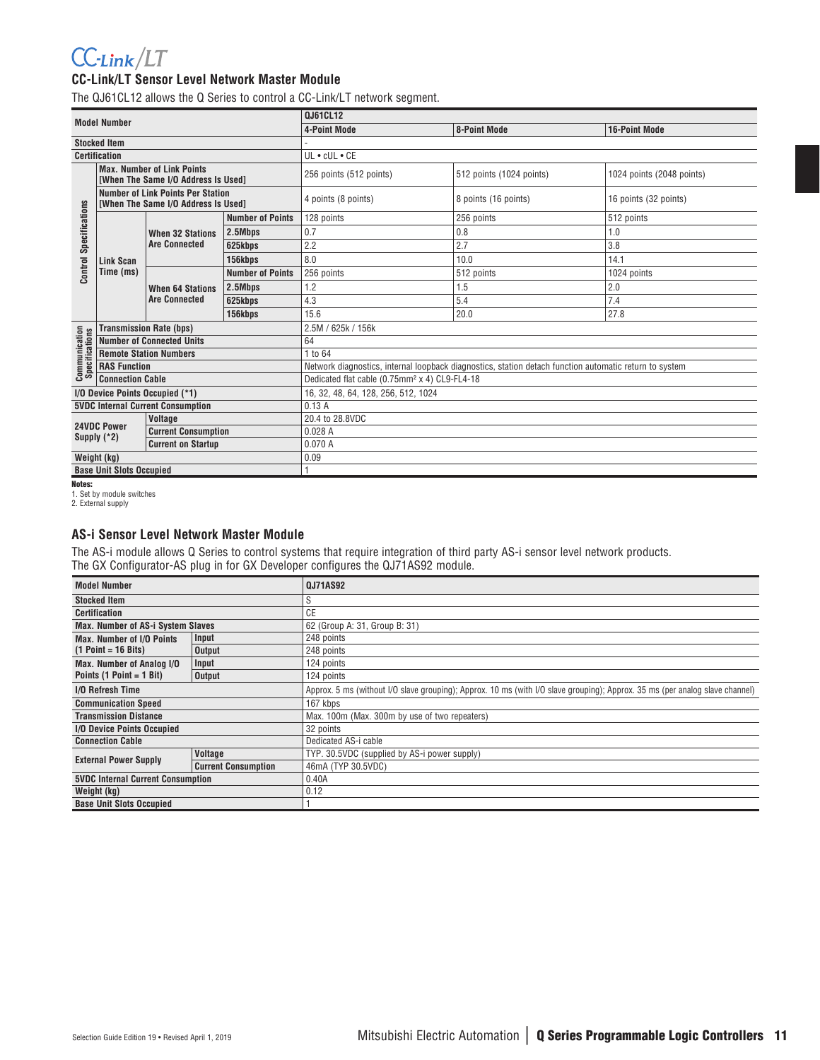# $CC$ -Link/LT

### **CC-Link/LT Sensor Level Network Master Module**

The QJ61CL12 allows the Q Series to control a CC-Link/LT network segment.

| <b>Model Number</b>                    |                                 | 0J61CL12                                                                        |                         |                                                                                                        |                          |                           |  |  |
|----------------------------------------|---------------------------------|---------------------------------------------------------------------------------|-------------------------|--------------------------------------------------------------------------------------------------------|--------------------------|---------------------------|--|--|
|                                        |                                 |                                                                                 |                         | <b>4-Point Mode</b>                                                                                    | <b>8-Point Mode</b>      | <b>16-Point Mode</b>      |  |  |
|                                        | <b>Stocked Item</b>             |                                                                                 |                         |                                                                                                        |                          |                           |  |  |
|                                        | <b>Certification</b>            |                                                                                 |                         | UL . cUL . CE                                                                                          |                          |                           |  |  |
|                                        |                                 | <b>Max. Number of Link Points</b><br><b>IWhen The Same I/O Address Is Used1</b> |                         | 256 points (512 points)                                                                                | 512 points (1024 points) | 1024 points (2048 points) |  |  |
|                                        |                                 | <b>Number of Link Points Per Station</b><br>[When The Same I/O Address Is Used] |                         | 4 points (8 points)                                                                                    | 8 points (16 points)     | 16 points (32 points)     |  |  |
|                                        |                                 |                                                                                 | <b>Number of Points</b> | 128 points                                                                                             | 256 points               | 512 points                |  |  |
|                                        |                                 | <b>When 32 Stations</b>                                                         | 2.5Mbps                 | 0.7                                                                                                    | 0.8                      | 1.0                       |  |  |
| Specifications                         |                                 | <b>Are Connected</b>                                                            | 625kbps                 | 2.2                                                                                                    | 2.7                      | 3.8                       |  |  |
|                                        | <b>Link Scan</b>                |                                                                                 | 156kbps                 | 8.0                                                                                                    | 10.0                     | 14.1                      |  |  |
| Control                                | Time (ms)                       | <b>When 64 Stations</b><br><b>Are Connected</b>                                 | <b>Number of Points</b> | 256 points                                                                                             | 512 points               | 1024 points               |  |  |
|                                        |                                 |                                                                                 | 2.5Mbps                 | 1.2                                                                                                    | 1.5                      | 2.0                       |  |  |
|                                        |                                 |                                                                                 | 625kbps                 | 4.3                                                                                                    | 5.4                      | 7.4                       |  |  |
|                                        |                                 |                                                                                 | 156kbps                 | 15.6                                                                                                   | 20.0                     | 27.8                      |  |  |
|                                        |                                 | <b>Transmission Rate (bps)</b>                                                  |                         | 2.5M / 625k / 156k                                                                                     |                          |                           |  |  |
| <b>Communication</b><br>Specifications |                                 | <b>Number of Connected Units</b>                                                |                         | 64                                                                                                     |                          |                           |  |  |
|                                        |                                 | <b>Remote Station Numbers</b>                                                   |                         | 1 to 64                                                                                                |                          |                           |  |  |
|                                        | <b>RAS Function</b>             |                                                                                 |                         | Network diagnostics, internal loopback diagnostics, station detach function automatic return to system |                          |                           |  |  |
|                                        | <b>Connection Cable</b>         |                                                                                 |                         | Dedicated flat cable (0.75mm <sup>2</sup> x 4) CL9-FL4-18                                              |                          |                           |  |  |
|                                        |                                 | I/O Device Points Occupied (*1)                                                 |                         | 16, 32, 48, 64, 128, 256, 512, 1024                                                                    |                          |                           |  |  |
|                                        |                                 | <b>5VDC Internal Current Consumption</b>                                        |                         | 0.13A                                                                                                  |                          |                           |  |  |
|                                        | <b>24VDC Power</b>              | <b>Voltage</b>                                                                  |                         | 20.4 to 28.8VDC                                                                                        |                          |                           |  |  |
| Supply $(*2)$                          |                                 | <b>Current Consumption</b>                                                      |                         | 0.028A                                                                                                 |                          |                           |  |  |
|                                        |                                 | <b>Current on Startup</b>                                                       |                         | 0.070A                                                                                                 |                          |                           |  |  |
| Weight (kg)                            |                                 |                                                                                 |                         | 0.09                                                                                                   |                          |                           |  |  |
|                                        | <b>Base Unit Slots Occupied</b> |                                                                                 |                         |                                                                                                        |                          |                           |  |  |

**Notes:**<br>1. Set by module switches<br>2. External supply

### **AS-i Sensor Level Network Master Module**

The AS-i module allows Q Series to control systems that require integration of third party AS-i sensor level network products. The GX Configurator-AS plug in for GX Developer configures the QJ71AS92 module.

| <b>Model Number</b>                      |                            | <b>QJ71AS92</b>                                                                                                              |  |  |  |  |
|------------------------------------------|----------------------------|------------------------------------------------------------------------------------------------------------------------------|--|--|--|--|
| <b>Stocked Item</b>                      |                            |                                                                                                                              |  |  |  |  |
| <b>Certification</b>                     |                            | <b>CE</b>                                                                                                                    |  |  |  |  |
| <b>Max. Number of AS-i System Slaves</b> |                            | 62 (Group A: 31, Group B: 31)                                                                                                |  |  |  |  |
| <b>Max. Number of I/O Points</b>         | Input                      | 248 points                                                                                                                   |  |  |  |  |
| $(1 Point = 16 bits)$                    | <b>Output</b>              | 248 points                                                                                                                   |  |  |  |  |
| <b>Max. Number of Analog I/O</b>         | Input                      | 124 points                                                                                                                   |  |  |  |  |
| Points $(1 Point = 1 Bit)$               | Output                     | 124 points                                                                                                                   |  |  |  |  |
| <b>I/O Refresh Time</b>                  |                            | Approx. 5 ms (without I/O slave grouping); Approx. 10 ms (with I/O slave grouping); Approx. 35 ms (per analog slave channel) |  |  |  |  |
| <b>Communication Speed</b>               |                            | 167 kbps                                                                                                                     |  |  |  |  |
| <b>Transmission Distance</b>             |                            | Max. 100m (Max. 300m by use of two repeaters)                                                                                |  |  |  |  |
| I/O Device Points Occupied               |                            | 32 points                                                                                                                    |  |  |  |  |
| <b>Connection Cable</b>                  |                            | Dedicated AS-i cable                                                                                                         |  |  |  |  |
| <b>External Power Supply</b>             | <b>Voltage</b>             | TYP. 30.5VDC (supplied by AS-i power supply)                                                                                 |  |  |  |  |
|                                          | <b>Current Consumption</b> | 46mA (TYP 30.5VDC)                                                                                                           |  |  |  |  |
| <b>5VDC Internal Current Consumption</b> |                            | 0.40A                                                                                                                        |  |  |  |  |
| Weight (kg)                              |                            | 0.12                                                                                                                         |  |  |  |  |
| <b>Base Unit Slots Occupied</b>          |                            |                                                                                                                              |  |  |  |  |